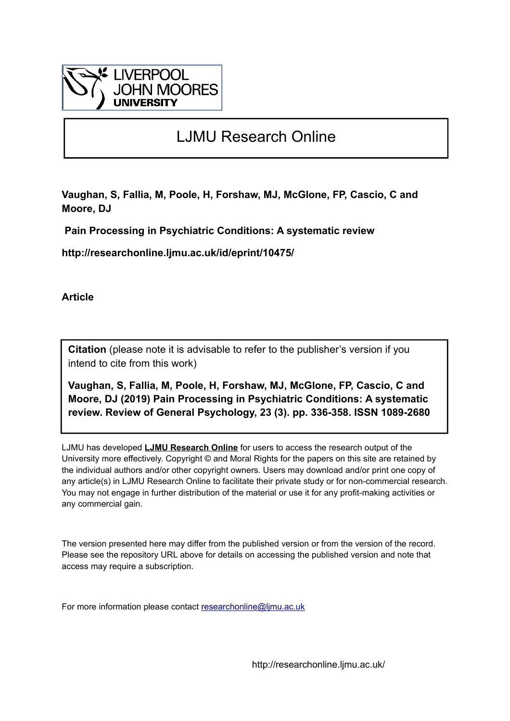

# LJMU Research Online

**Vaughan, S, Fallia, M, Poole, H, Forshaw, MJ, McGlone, FP, Cascio, C and Moore, DJ**

 **Pain Processing in Psychiatric Conditions: A systematic review**

**http://researchonline.ljmu.ac.uk/id/eprint/10475/**

**Article**

**Citation** (please note it is advisable to refer to the publisher's version if you intend to cite from this work)

**Vaughan, S, Fallia, M, Poole, H, Forshaw, MJ, McGlone, FP, Cascio, C and Moore, DJ (2019) Pain Processing in Psychiatric Conditions: A systematic review. Review of General Psychology, 23 (3). pp. 336-358. ISSN 1089-2680** 

LJMU has developed **[LJMU Research Online](http://researchonline.ljmu.ac.uk/)** for users to access the research output of the University more effectively. Copyright © and Moral Rights for the papers on this site are retained by the individual authors and/or other copyright owners. Users may download and/or print one copy of any article(s) in LJMU Research Online to facilitate their private study or for non-commercial research. You may not engage in further distribution of the material or use it for any profit-making activities or any commercial gain.

The version presented here may differ from the published version or from the version of the record. Please see the repository URL above for details on accessing the published version and note that access may require a subscription.

For more information please contact [researchonline@ljmu.ac.uk](mailto:researchonline@ljmu.ac.uk)

http://researchonline.ljmu.ac.uk/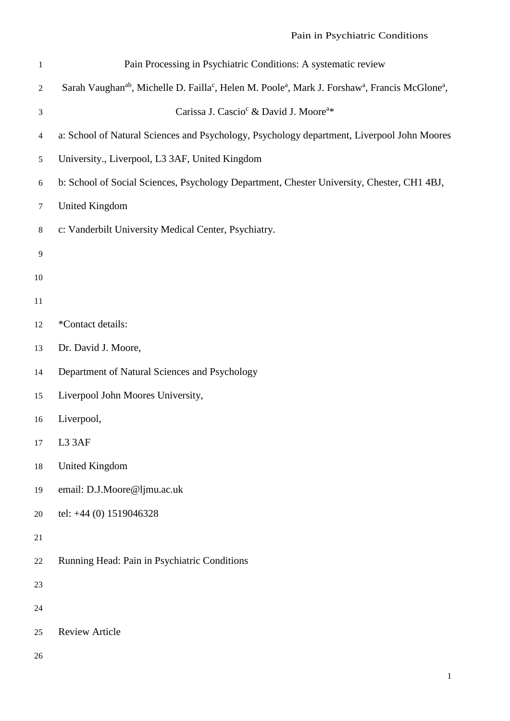| $\mathbf{1}$   | Pain Processing in Psychiatric Conditions: A systematic review                                                                                              |  |  |  |  |
|----------------|-------------------------------------------------------------------------------------------------------------------------------------------------------------|--|--|--|--|
| $\overline{2}$ | Sarah Vaughan <sup>ab</sup> , Michelle D. Failla <sup>c</sup> , Helen M. Poole <sup>a</sup> , Mark J. Forshaw <sup>a</sup> , Francis McGlone <sup>a</sup> , |  |  |  |  |
| $\mathfrak{Z}$ | Carissa J. Cascio <sup>c</sup> & David J. Moore <sup>a*</sup>                                                                                               |  |  |  |  |
| $\overline{4}$ | a: School of Natural Sciences and Psychology, Psychology department, Liverpool John Moores                                                                  |  |  |  |  |
| 5              | University., Liverpool, L3 3AF, United Kingdom                                                                                                              |  |  |  |  |
| 6              | b: School of Social Sciences, Psychology Department, Chester University, Chester, CH1 4BJ,                                                                  |  |  |  |  |
| $\tau$         | <b>United Kingdom</b>                                                                                                                                       |  |  |  |  |
| $8\,$          | c: Vanderbilt University Medical Center, Psychiatry.                                                                                                        |  |  |  |  |
| $\overline{9}$ |                                                                                                                                                             |  |  |  |  |
| 10             |                                                                                                                                                             |  |  |  |  |
| 11             |                                                                                                                                                             |  |  |  |  |
| 12             | *Contact details:                                                                                                                                           |  |  |  |  |
| 13             | Dr. David J. Moore,                                                                                                                                         |  |  |  |  |
| 14             | Department of Natural Sciences and Psychology                                                                                                               |  |  |  |  |
| 15             | Liverpool John Moores University,                                                                                                                           |  |  |  |  |
| 16             | Liverpool,                                                                                                                                                  |  |  |  |  |
| $17\,$         | L3 3AF                                                                                                                                                      |  |  |  |  |
| 18             | <b>United Kingdom</b>                                                                                                                                       |  |  |  |  |
| 19             | email: D.J.Moore@ljmu.ac.uk                                                                                                                                 |  |  |  |  |
| 20             | tel: +44 (0) 1519046328                                                                                                                                     |  |  |  |  |
| 21             |                                                                                                                                                             |  |  |  |  |
| $22\,$         | Running Head: Pain in Psychiatric Conditions                                                                                                                |  |  |  |  |
| 23             |                                                                                                                                                             |  |  |  |  |
| 24             |                                                                                                                                                             |  |  |  |  |
| 25             | <b>Review Article</b>                                                                                                                                       |  |  |  |  |
| 26             |                                                                                                                                                             |  |  |  |  |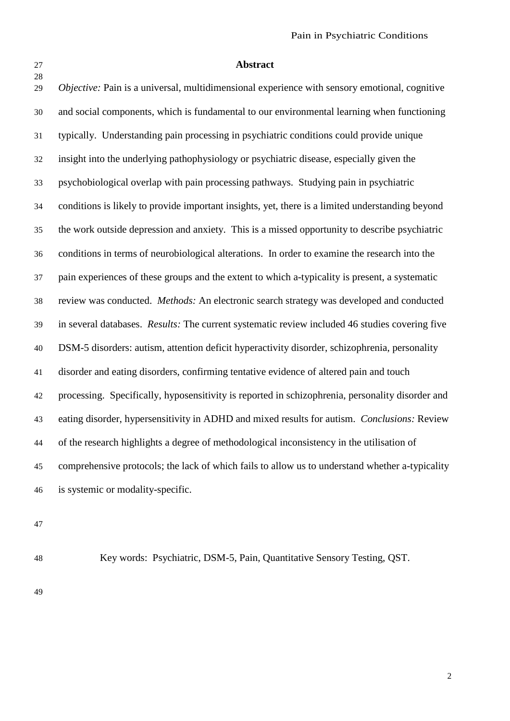#### **Abstract**

 *Objective:* Pain is a universal, multidimensional experience with sensory emotional, cognitive and social components, which is fundamental to our environmental learning when functioning typically. Understanding pain processing in psychiatric conditions could provide unique insight into the underlying pathophysiology or psychiatric disease, especially given the psychobiological overlap with pain processing pathways. Studying pain in psychiatric conditions is likely to provide important insights, yet, there is a limited understanding beyond the work outside depression and anxiety. This is a missed opportunity to describe psychiatric conditions in terms of neurobiological alterations. In order to examine the research into the pain experiences of these groups and the extent to which a-typicality is present, a systematic review was conducted. *Methods:* An electronic search strategy was developed and conducted in several databases. *Results:* The current systematic review included 46 studies covering five DSM-5 disorders: autism, attention deficit hyperactivity disorder, schizophrenia, personality disorder and eating disorders, confirming tentative evidence of altered pain and touch processing. Specifically, hyposensitivity is reported in schizophrenia, personality disorder and eating disorder, hypersensitivity in ADHD and mixed results for autism. *Conclusions:* Review of the research highlights a degree of methodological inconsistency in the utilisation of comprehensive protocols; the lack of which fails to allow us to understand whether a-typicality is systemic or modality-specific.

Key words: Psychiatric, DSM-5, Pain, Quantitative Sensory Testing, QST.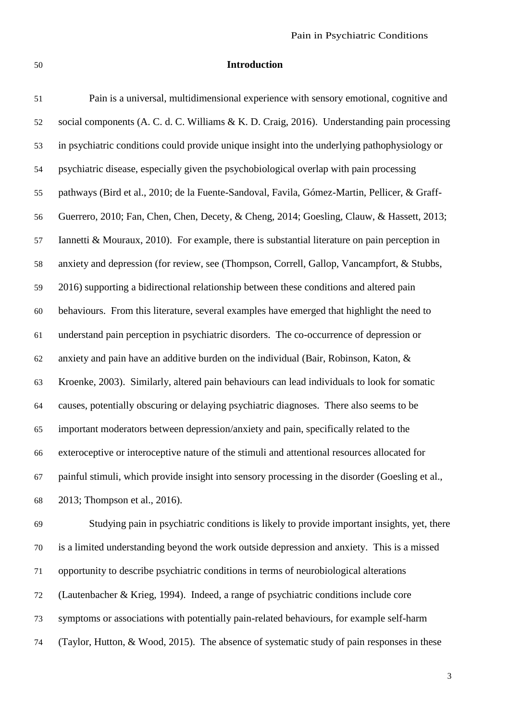### **Introduction**

 Pain is a universal, multidimensional experience with sensory emotional, cognitive and social components (A. C. d. C. Williams & K. D. Craig, 2016). Understanding pain processing in psychiatric conditions could provide unique insight into the underlying pathophysiology or psychiatric disease, especially given the psychobiological overlap with pain processing pathways (Bird et al., 2010; de la Fuente-Sandoval, Favila, Gómez-Martin, Pellicer, & Graff- Guerrero, 2010; Fan, Chen, Chen, Decety, & Cheng, 2014; Goesling, Clauw, & Hassett, 2013; Iannetti & Mouraux, 2010). For example, there is substantial literature on pain perception in anxiety and depression (for review, see (Thompson, Correll, Gallop, Vancampfort, & Stubbs, 2016) supporting a bidirectional relationship between these conditions and altered pain behaviours. From this literature, several examples have emerged that highlight the need to understand pain perception in psychiatric disorders. The co-occurrence of depression or anxiety and pain have an additive burden on the individual (Bair, Robinson, Katon, & Kroenke, 2003). Similarly, altered pain behaviours can lead individuals to look for somatic causes, potentially obscuring or delaying psychiatric diagnoses. There also seems to be important moderators between depression/anxiety and pain, specifically related to the exteroceptive or interoceptive nature of the stimuli and attentional resources allocated for painful stimuli, which provide insight into sensory processing in the disorder (Goesling et al., 2013; Thompson et al., 2016).

 Studying pain in psychiatric conditions is likely to provide important insights, yet, there is a limited understanding beyond the work outside depression and anxiety. This is a missed opportunity to describe psychiatric conditions in terms of neurobiological alterations (Lautenbacher & Krieg, 1994). Indeed, a range of psychiatric conditions include core symptoms or associations with potentially pain-related behaviours, for example self-harm (Taylor, Hutton, & Wood, 2015). The absence of systematic study of pain responses in these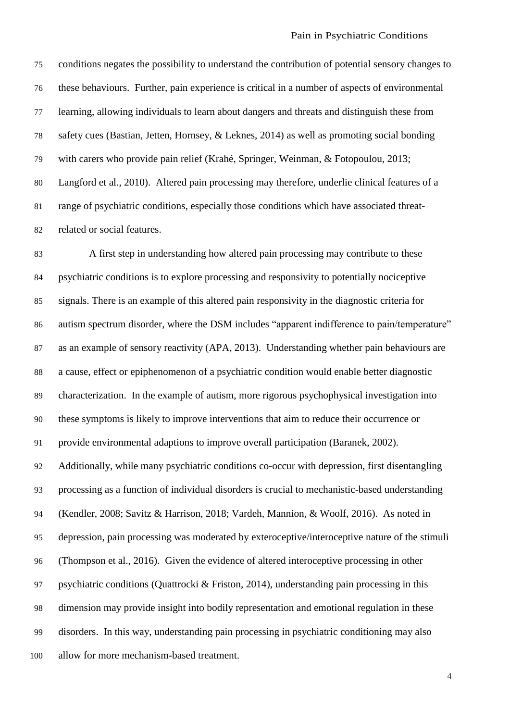conditions negates the possibility to understand the contribution of potential sensory changes to these behaviours. Further, pain experience is critical in a number of aspects of environmental learning, allowing individuals to learn about dangers and threats and distinguish these from safety cues (Bastian, Jetten, Hornsey, & Leknes, 2014) as well as promoting social bonding with carers who provide pain relief (Krahé, Springer, Weinman, & Fotopoulou, 2013; Langford et al., 2010). Altered pain processing may therefore, underlie clinical features of a range of psychiatric conditions, especially those conditions which have associated threat-related or social features.

 A first step in understanding how altered pain processing may contribute to these psychiatric conditions is to explore processing and responsivity to potentially nociceptive signals. There is an example of this altered pain responsivity in the diagnostic criteria for autism spectrum disorder, where the DSM includes "apparent indifference to pain/temperature" as an example of sensory reactivity (APA, 2013). Understanding whether pain behaviours are a cause, effect or epiphenomenon of a psychiatric condition would enable better diagnostic characterization. In the example of autism, more rigorous psychophysical investigation into these symptoms is likely to improve interventions that aim to reduce their occurrence or provide environmental adaptions to improve overall participation (Baranek, 2002). Additionally, while many psychiatric conditions co-occur with depression, first disentangling processing as a function of individual disorders is crucial to mechanistic-based understanding (Kendler, 2008; Savitz & Harrison, 2018; Vardeh, Mannion, & Woolf, 2016). As noted in depression, pain processing was moderated by exteroceptive/interoceptive nature of the stimuli (Thompson et al., 2016). Given the evidence of altered interoceptive processing in other psychiatric conditions (Quattrocki & Friston, 2014), understanding pain processing in this dimension may provide insight into bodily representation and emotional regulation in these disorders. In this way, understanding pain processing in psychiatric conditioning may also allow for more mechanism-based treatment.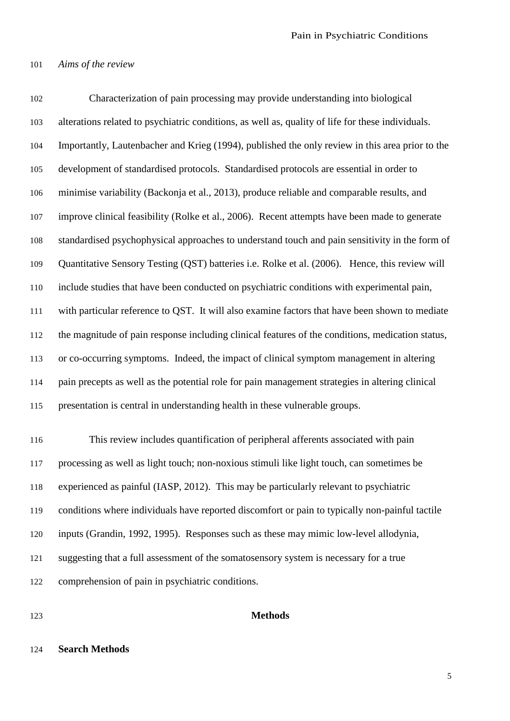#### *Aims of the review*

 Characterization of pain processing may provide understanding into biological alterations related to psychiatric conditions, as well as, quality of life for these individuals. Importantly, Lautenbacher and Krieg (1994), published the only review in this area prior to the development of standardised protocols. Standardised protocols are essential in order to minimise variability (Backonja et al., 2013), produce reliable and comparable results, and improve clinical feasibility (Rolke et al., 2006). Recent attempts have been made to generate standardised psychophysical approaches to understand touch and pain sensitivity in the form of Quantitative Sensory Testing (QST) batteries i.e. Rolke et al. (2006). Hence, this review will include studies that have been conducted on psychiatric conditions with experimental pain, with particular reference to QST. It will also examine factors that have been shown to mediate the magnitude of pain response including clinical features of the conditions, medication status, or co-occurring symptoms. Indeed, the impact of clinical symptom management in altering pain precepts as well as the potential role for pain management strategies in altering clinical presentation is central in understanding health in these vulnerable groups.

 This review includes quantification of peripheral afferents associated with pain processing as well as light touch; non-noxious stimuli like light touch, can sometimes be experienced as painful (IASP, 2012). This may be particularly relevant to psychiatric conditions where individuals have reported discomfort or pain to typically non-painful tactile inputs (Grandin, 1992, 1995). Responses such as these may mimic low-level allodynia, suggesting that a full assessment of the somatosensory system is necessary for a true comprehension of pain in psychiatric conditions.

#### **Methods**

#### **Search Methods**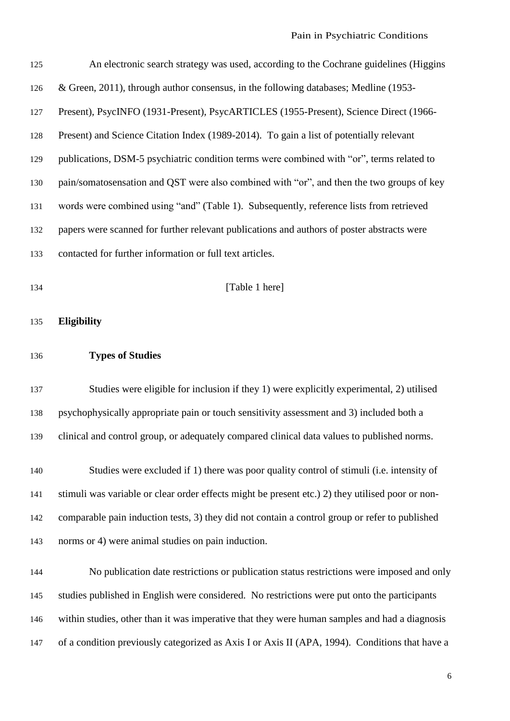| 125 | An electronic search strategy was used, according to the Cochrane guidelines (Higgins            |  |  |  |
|-----|--------------------------------------------------------------------------------------------------|--|--|--|
| 126 | & Green, 2011), through author consensus, in the following databases; Medline (1953-             |  |  |  |
| 127 | Present), PsycINFO (1931-Present), PsycARTICLES (1955-Present), Science Direct (1966-            |  |  |  |
| 128 | Present) and Science Citation Index (1989-2014). To gain a list of potentially relevant          |  |  |  |
| 129 | publications, DSM-5 psychiatric condition terms were combined with "or", terms related to        |  |  |  |
| 130 | pain/somatosensation and QST were also combined with "or", and then the two groups of key        |  |  |  |
| 131 | words were combined using "and" (Table 1). Subsequently, reference lists from retrieved          |  |  |  |
| 132 | papers were scanned for further relevant publications and authors of poster abstracts were       |  |  |  |
| 133 | contacted for further information or full text articles.                                         |  |  |  |
| 134 | [Table 1 here]                                                                                   |  |  |  |
| 135 | <b>Eligibility</b>                                                                               |  |  |  |
|     |                                                                                                  |  |  |  |
| 136 | <b>Types of Studies</b>                                                                          |  |  |  |
| 137 | Studies were eligible for inclusion if they 1) were explicitly experimental, 2) utilised         |  |  |  |
| 138 | psychophysically appropriate pain or touch sensitivity assessment and 3) included both a         |  |  |  |
| 139 | clinical and control group, or adequately compared clinical data values to published norms.      |  |  |  |
| 140 | Studies were excluded if 1) there was poor quality control of stimuli (i.e. intensity of         |  |  |  |
| 141 | stimuli was variable or clear order effects might be present etc.) 2) they utilised poor or non- |  |  |  |
| 142 | comparable pain induction tests, 3) they did not contain a control group or refer to published   |  |  |  |
| 143 | norms or 4) were animal studies on pain induction.                                               |  |  |  |
| 144 | No publication date restrictions or publication status restrictions were imposed and only        |  |  |  |
| 145 | studies published in English were considered. No restrictions were put onto the participants     |  |  |  |
| 146 | within studies, other than it was imperative that they were human samples and had a diagnosis    |  |  |  |
| 147 | of a condition previously categorized as Axis I or Axis II (APA, 1994). Conditions that have a   |  |  |  |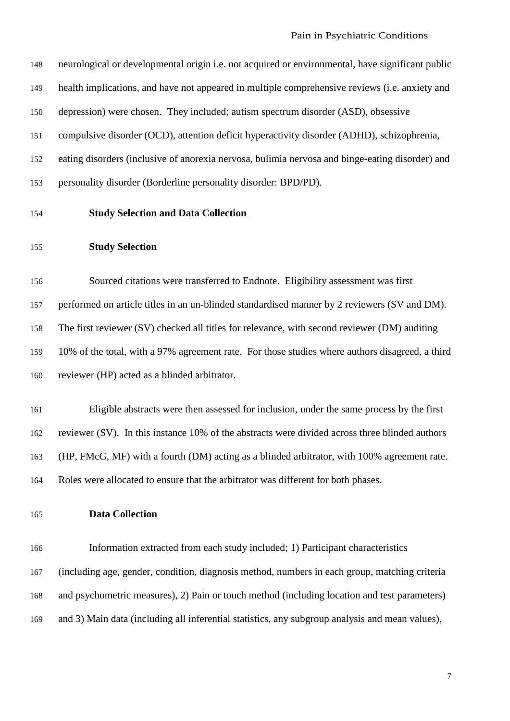| 148 | neurological or developmental origin <i>i.e.</i> not acquired or environmental, have significant public |
|-----|---------------------------------------------------------------------------------------------------------|
| 149 | health implications, and have not appeared in multiple comprehensive reviews ( <i>i.e.</i> anxiety and  |
| 150 | depression) were chosen. They included; autism spectrum disorder (ASD), obsessive                       |
| 151 | compulsive disorder (OCD), attention deficit hyperactivity disorder (ADHD), schizophrenia,              |
| 152 | eating disorders (inclusive of anorexia nervosa, bulimia nervosa and binge-eating disorder) and         |
| 153 | personality disorder (Borderline personality disorder: BPD/PD).                                         |

## **Study Selection and Data Collection**

#### **Study Selection**

 Sourced citations were transferred to Endnote. Eligibility assessment was first performed on article titles in an un-blinded standardised manner by 2 reviewers (SV and DM). The first reviewer (SV) checked all titles for relevance, with second reviewer (DM) auditing 10% of the total, with a 97% agreement rate. For those studies where authors disagreed, a third reviewer (HP) acted as a blinded arbitrator.

 Eligible abstracts were then assessed for inclusion, under the same process by the first reviewer (SV). In this instance 10% of the abstracts were divided across three blinded authors (HP, FMcG, MF) with a fourth (DM) acting as a blinded arbitrator, with 100% agreement rate. Roles were allocated to ensure that the arbitrator was different for both phases.

## **Data Collection**

 Information extracted from each study included; 1) Participant characteristics (including age, gender, condition, diagnosis method, numbers in each group, matching criteria and psychometric measures), 2) Pain or touch method (including location and test parameters) and 3) Main data (including all inferential statistics, any subgroup analysis and mean values),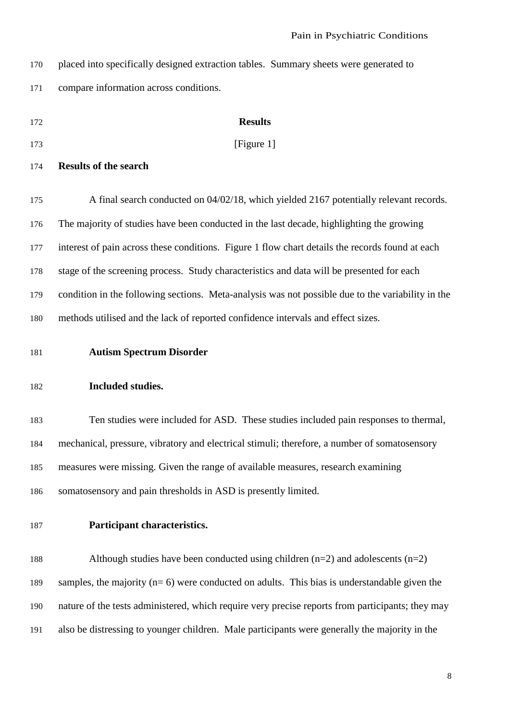| 170 | placed into specifically designed extraction tables. Summary sheets were generated to             |  |  |  |  |
|-----|---------------------------------------------------------------------------------------------------|--|--|--|--|
| 171 | compare information across conditions.                                                            |  |  |  |  |
| 172 | <b>Results</b>                                                                                    |  |  |  |  |
| 173 | [Figure 1]                                                                                        |  |  |  |  |
| 174 | <b>Results of the search</b>                                                                      |  |  |  |  |
| 175 | A final search conducted on 04/02/18, which yielded 2167 potentially relevant records.            |  |  |  |  |
| 176 | The majority of studies have been conducted in the last decade, highlighting the growing          |  |  |  |  |
| 177 | interest of pain across these conditions. Figure 1 flow chart details the records found at each   |  |  |  |  |
| 178 | stage of the screening process. Study characteristics and data will be presented for each         |  |  |  |  |
| 179 | condition in the following sections. Meta-analysis was not possible due to the variability in the |  |  |  |  |
| 180 | methods utilised and the lack of reported confidence intervals and effect sizes.                  |  |  |  |  |
| 181 | <b>Autism Spectrum Disorder</b>                                                                   |  |  |  |  |
| 182 | Included studies.                                                                                 |  |  |  |  |
| 183 | Ten studies were included for ASD. These studies included pain responses to thermal,              |  |  |  |  |
| 184 | mechanical, pressure, vibratory and electrical stimuli; therefore, a number of somatosensory      |  |  |  |  |
| 185 | measures were missing. Given the range of available measures, research examining                  |  |  |  |  |
| 186 | somatosensory and pain thresholds in ASD is presently limited.                                    |  |  |  |  |
| 187 | Participant characteristics.                                                                      |  |  |  |  |
| 188 | Although studies have been conducted using children $(n=2)$ and adolescents $(n=2)$               |  |  |  |  |
| 189 | samples, the majority $(n=6)$ were conducted on adults. This bias is understandable given the     |  |  |  |  |
| 190 | nature of the tests administered, which require very precise reports from participants; they may  |  |  |  |  |
| 191 | also be distressing to younger children. Male participants were generally the majority in the     |  |  |  |  |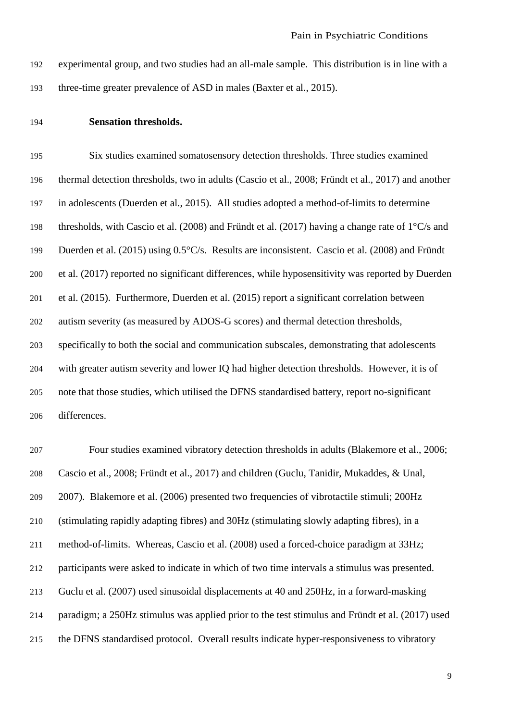experimental group, and two studies had an all-male sample. This distribution is in line with a three-time greater prevalence of ASD in males (Baxter et al., 2015).

#### **Sensation thresholds.**

 Six studies examined somatosensory detection thresholds. Three studies examined thermal detection thresholds, two in adults (Cascio et al., 2008; Fründt et al., 2017) and another in adolescents (Duerden et al., 2015). All studies adopted a method-of-limits to determine thresholds, with Cascio et al. (2008) and Fründt et al. (2017) having a change rate of 1°C/s and Duerden et al. (2015) using 0.5°C/s. Results are inconsistent. Cascio et al. (2008) and Fründt et al. (2017) reported no significant differences, while hyposensitivity was reported by Duerden et al. (2015). Furthermore, Duerden et al. (2015) report a significant correlation between autism severity (as measured by ADOS-G scores) and thermal detection thresholds, specifically to both the social and communication subscales, demonstrating that adolescents with greater autism severity and lower IQ had higher detection thresholds. However, it is of note that those studies, which utilised the DFNS standardised battery, report no-significant differences.

 Four studies examined vibratory detection thresholds in adults (Blakemore et al., 2006; Cascio et al., 2008; Fründt et al., 2017) and children (Guclu, Tanidir, Mukaddes, & Unal, 2007). Blakemore et al. (2006) presented two frequencies of vibrotactile stimuli; 200Hz (stimulating rapidly adapting fibres) and 30Hz (stimulating slowly adapting fibres), in a method-of-limits. Whereas, Cascio et al. (2008) used a forced-choice paradigm at 33Hz; participants were asked to indicate in which of two time intervals a stimulus was presented. Guclu et al. (2007) used sinusoidal displacements at 40 and 250Hz, in a forward-masking paradigm; a 250Hz stimulus was applied prior to the test stimulus and Fründt et al. (2017) used the DFNS standardised protocol. Overall results indicate hyper-responsiveness to vibratory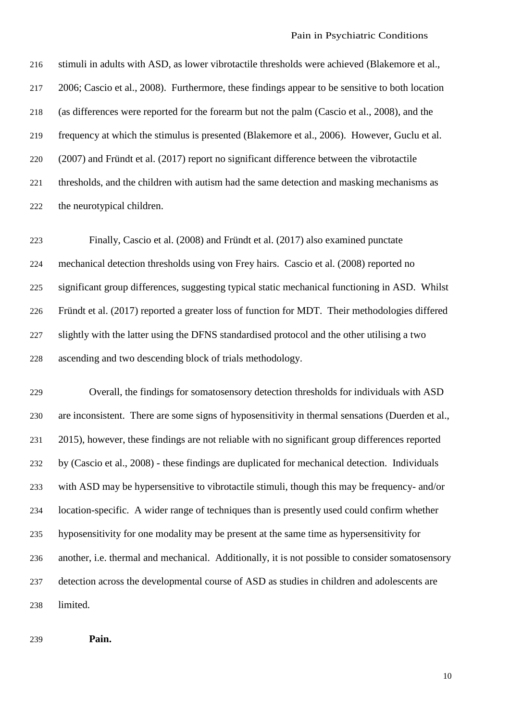stimuli in adults with ASD, as lower vibrotactile thresholds were achieved (Blakemore et al., 2006; Cascio et al., 2008). Furthermore, these findings appear to be sensitive to both location (as differences were reported for the forearm but not the palm (Cascio et al., 2008), and the frequency at which the stimulus is presented (Blakemore et al., 2006). However, Guclu et al. (2007) and Fründt et al. (2017) report no significant difference between the vibrotactile thresholds, and the children with autism had the same detection and masking mechanisms as the neurotypical children.

 Finally, Cascio et al. (2008) and Fründt et al. (2017) also examined punctate mechanical detection thresholds using von Frey hairs. Cascio et al. (2008) reported no significant group differences, suggesting typical static mechanical functioning in ASD. Whilst Fründt et al. (2017) reported a greater loss of function for MDT. Their methodologies differed slightly with the latter using the DFNS standardised protocol and the other utilising a two ascending and two descending block of trials methodology.

 Overall, the findings for somatosensory detection thresholds for individuals with ASD are inconsistent. There are some signs of hyposensitivity in thermal sensations (Duerden et al., 2015), however, these findings are not reliable with no significant group differences reported by (Cascio et al., 2008) - these findings are duplicated for mechanical detection. Individuals with ASD may be hypersensitive to vibrotactile stimuli, though this may be frequency- and/or location-specific. A wider range of techniques than is presently used could confirm whether hyposensitivity for one modality may be present at the same time as hypersensitivity for another, i.e. thermal and mechanical. Additionally, it is not possible to consider somatosensory detection across the developmental course of ASD as studies in children and adolescents are limited.

**Pain.**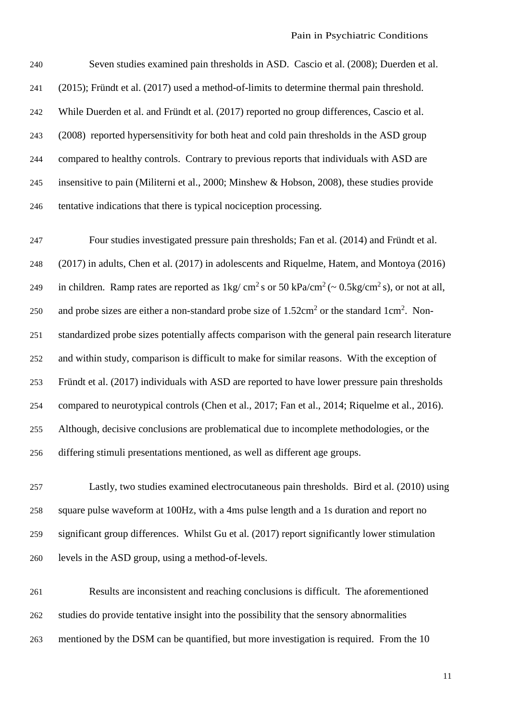Seven studies examined pain thresholds in ASD. Cascio et al. (2008); Duerden et al. (2015); Fründt et al. (2017) used a method-of-limits to determine thermal pain threshold. While Duerden et al. and Fründt et al. (2017) reported no group differences, Cascio et al. (2008) reported hypersensitivity for both heat and cold pain thresholds in the ASD group compared to healthy controls. Contrary to previous reports that individuals with ASD are insensitive to pain (Militerni et al., 2000; Minshew & Hobson, 2008), these studies provide tentative indications that there is typical nociception processing.

 Four studies investigated pressure pain thresholds; Fan et al. (2014) and Fründt et al. (2017) in adults, Chen et al. (2017) in adolescents and Riquelme, Hatem, and Montoya (2016) 249 in children. Ramp rates are reported as  $1 \text{kg}/\text{cm}^2\text{ s}$  or 50 kPa/cm<sup>2</sup> ( $\sim 0.5 \text{kg}/\text{cm}^2\text{ s}$ ), or not at all, 250 and probe sizes are either a non-standard probe size of  $1.52 \text{cm}^2$  or the standard  $1 \text{cm}^2$ . Non- standardized probe sizes potentially affects comparison with the general pain research literature and within study, comparison is difficult to make for similar reasons. With the exception of Fründt et al. (2017) individuals with ASD are reported to have lower pressure pain thresholds compared to neurotypical controls (Chen et al., 2017; Fan et al., 2014; Riquelme et al., 2016). Although, decisive conclusions are problematical due to incomplete methodologies, or the differing stimuli presentations mentioned, as well as different age groups.

 Lastly, two studies examined electrocutaneous pain thresholds. Bird et al. (2010) using square pulse waveform at 100Hz, with a 4ms pulse length and a 1s duration and report no significant group differences. Whilst Gu et al. (2017) report significantly lower stimulation levels in the ASD group, using a method-of-levels.

 Results are inconsistent and reaching conclusions is difficult. The aforementioned studies do provide tentative insight into the possibility that the sensory abnormalities mentioned by the DSM can be quantified, but more investigation is required. From the 10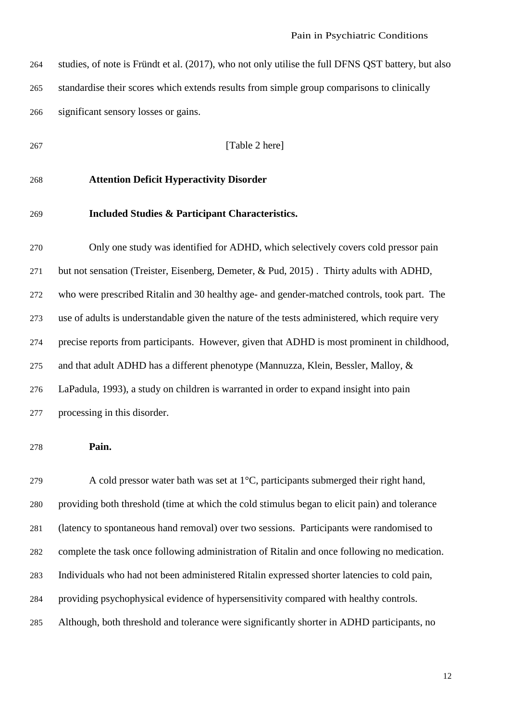| 264 | studies, of note is Fründt et al. (2017), who not only utilise the full DFNS QST battery, but also |
|-----|----------------------------------------------------------------------------------------------------|
| 265 | standardise their scores which extends results from simple group comparisons to clinically         |
| 266 | significant sensory losses or gains.                                                               |

**[Table 2 here]** 

## **Attention Deficit Hyperactivity Disorder**

#### **Included Studies & Participant Characteristics.**

 Only one study was identified for ADHD, which selectively covers cold pressor pain but not sensation (Treister, Eisenberg, Demeter, & Pud, 2015) . Thirty adults with ADHD, who were prescribed Ritalin and 30 healthy age- and gender-matched controls, took part. The use of adults is understandable given the nature of the tests administered, which require very precise reports from participants. However, given that ADHD is most prominent in childhood, and that adult ADHD has a different phenotype (Mannuzza, Klein, Bessler, Malloy, & LaPadula, 1993), a study on children is warranted in order to expand insight into pain processing in this disorder.

**Pain.**

279 A cold pressor water bath was set at  $1^{\circ}$ C, participants submerged their right hand, providing both threshold (time at which the cold stimulus began to elicit pain) and tolerance (latency to spontaneous hand removal) over two sessions. Participants were randomised to complete the task once following administration of Ritalin and once following no medication. Individuals who had not been administered Ritalin expressed shorter latencies to cold pain, providing psychophysical evidence of hypersensitivity compared with healthy controls. Although, both threshold and tolerance were significantly shorter in ADHD participants, no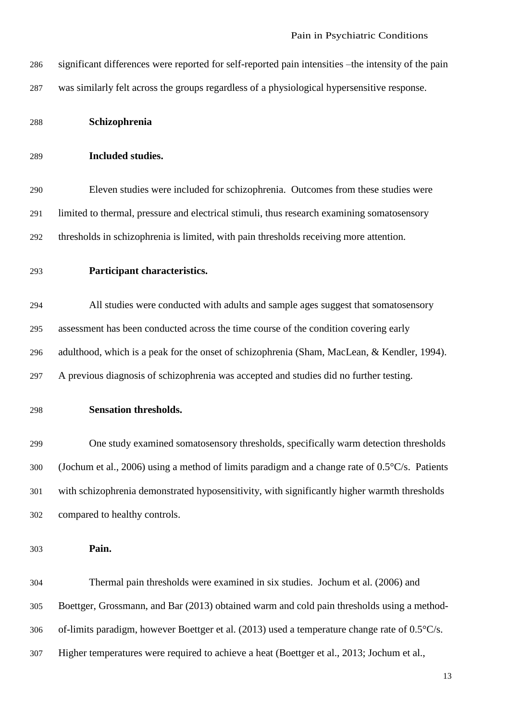- significant differences were reported for self-reported pain intensities –the intensity of the pain was similarly felt across the groups regardless of a physiological hypersensitive response.
- **Schizophrenia**
- **Included studies.**

 Eleven studies were included for schizophrenia. Outcomes from these studies were limited to thermal, pressure and electrical stimuli, thus research examining somatosensory thresholds in schizophrenia is limited, with pain thresholds receiving more attention.

**Participant characteristics.**

 All studies were conducted with adults and sample ages suggest that somatosensory assessment has been conducted across the time course of the condition covering early adulthood, which is a peak for the onset of schizophrenia (Sham, MacLean, & Kendler, 1994). A previous diagnosis of schizophrenia was accepted and studies did no further testing.

**Sensation thresholds.** 

 One study examined somatosensory thresholds, specifically warm detection thresholds (Jochum et al., 2006) using a method of limits paradigm and a change rate of 0.5°C/s. Patients with schizophrenia demonstrated hyposensitivity, with significantly higher warmth thresholds compared to healthy controls.

**Pain.** 

 Thermal pain thresholds were examined in six studies. Jochum et al. (2006) and Boettger, Grossmann, and Bar (2013) obtained warm and cold pain thresholds using a method- of-limits paradigm, however Boettger et al. (2013) used a temperature change rate of 0.5°C/s. Higher temperatures were required to achieve a heat (Boettger et al., 2013; Jochum et al.,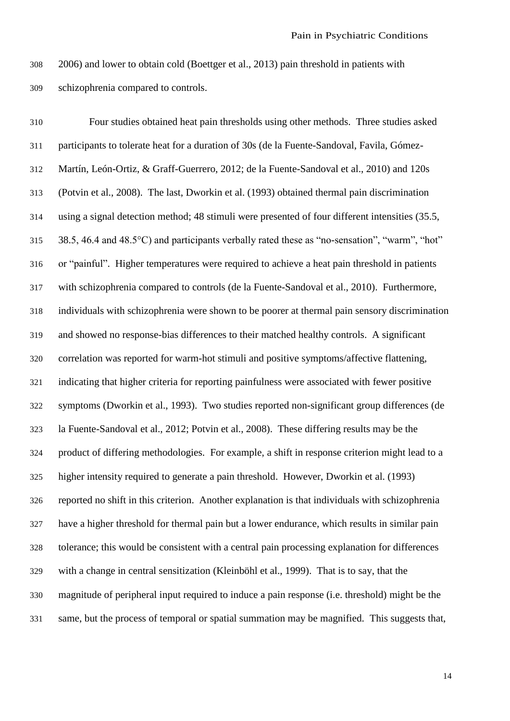2006) and lower to obtain cold (Boettger et al., 2013) pain threshold in patients with schizophrenia compared to controls.

 Four studies obtained heat pain thresholds using other methods. Three studies asked participants to tolerate heat for a duration of 30s (de la Fuente-Sandoval, Favila, Gómez- Martín, León-Ortiz, & Graff-Guerrero, 2012; de la Fuente-Sandoval et al., 2010) and 120s (Potvin et al., 2008). The last, Dworkin et al. (1993) obtained thermal pain discrimination using a signal detection method; 48 stimuli were presented of four different intensities (35.5, 38.5, 46.4 and 48.5°C) and participants verbally rated these as "no-sensation", "warm", "hot" or "painful". Higher temperatures were required to achieve a heat pain threshold in patients with schizophrenia compared to controls (de la Fuente-Sandoval et al., 2010). Furthermore, individuals with schizophrenia were shown to be poorer at thermal pain sensory discrimination and showed no response-bias differences to their matched healthy controls. A significant correlation was reported for warm-hot stimuli and positive symptoms/affective flattening, indicating that higher criteria for reporting painfulness were associated with fewer positive symptoms (Dworkin et al., 1993). Two studies reported non-significant group differences (de la Fuente-Sandoval et al., 2012; Potvin et al., 2008). These differing results may be the product of differing methodologies. For example, a shift in response criterion might lead to a higher intensity required to generate a pain threshold. However, Dworkin et al. (1993) reported no shift in this criterion. Another explanation is that individuals with schizophrenia have a higher threshold for thermal pain but a lower endurance, which results in similar pain tolerance; this would be consistent with a central pain processing explanation for differences with a change in central sensitization (Kleinböhl et al., 1999). That is to say, that the magnitude of peripheral input required to induce a pain response (i.e. threshold) might be the same, but the process of temporal or spatial summation may be magnified. This suggests that,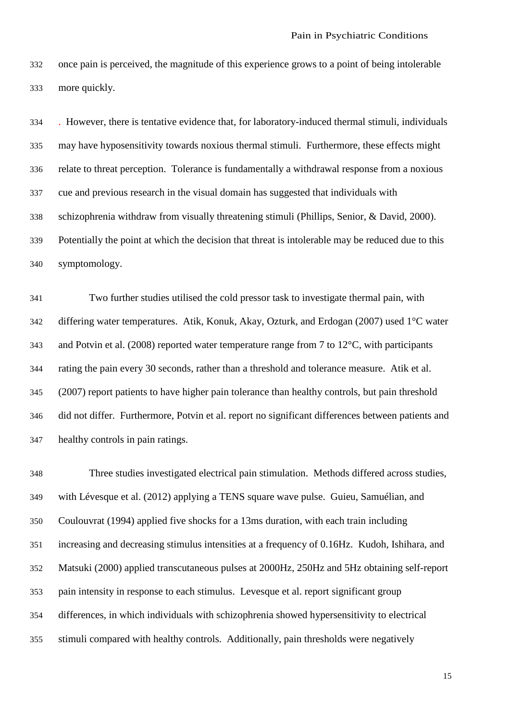once pain is perceived, the magnitude of this experience grows to a point of being intolerable more quickly.

 . However, there is tentative evidence that, for laboratory-induced thermal stimuli, individuals may have hyposensitivity towards noxious thermal stimuli. Furthermore, these effects might relate to threat perception. Tolerance is fundamentally a withdrawal response from a noxious cue and previous research in the visual domain has suggested that individuals with schizophrenia withdraw from visually threatening stimuli (Phillips, Senior, & David, 2000). Potentially the point at which the decision that threat is intolerable may be reduced due to this symptomology.

 Two further studies utilised the cold pressor task to investigate thermal pain, with differing water temperatures. Atik, Konuk, Akay, Ozturk, and Erdogan (2007) used 1°C water and Potvin et al. (2008) reported water temperature range from 7 to 12°C, with participants rating the pain every 30 seconds, rather than a threshold and tolerance measure. Atik et al. (2007) report patients to have higher pain tolerance than healthy controls, but pain threshold did not differ. Furthermore, Potvin et al. report no significant differences between patients and healthy controls in pain ratings.

 Three studies investigated electrical pain stimulation. Methods differed across studies, with Lévesque et al. (2012) applying a TENS square wave pulse. Guieu, Samuélian, and Coulouvrat (1994) applied five shocks for a 13ms duration, with each train including increasing and decreasing stimulus intensities at a frequency of 0.16Hz. Kudoh, Ishihara, and Matsuki (2000) applied transcutaneous pulses at 2000Hz, 250Hz and 5Hz obtaining self-report pain intensity in response to each stimulus. Levesque et al. report significant group differences, in which individuals with schizophrenia showed hypersensitivity to electrical stimuli compared with healthy controls. Additionally, pain thresholds were negatively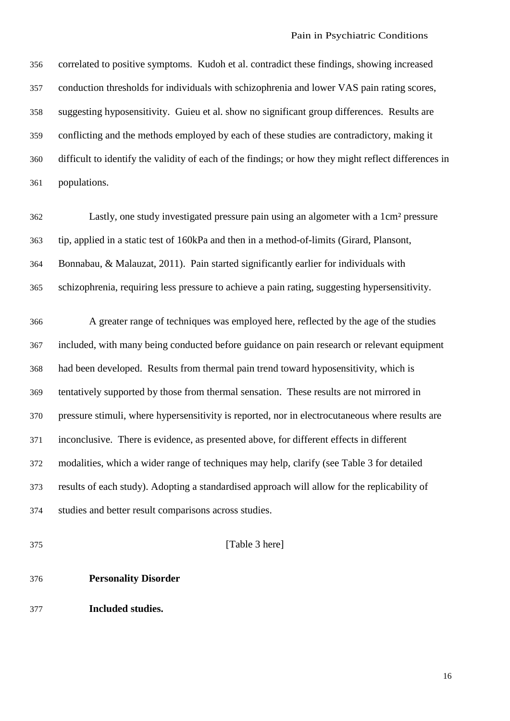correlated to positive symptoms. Kudoh et al. contradict these findings, showing increased conduction thresholds for individuals with schizophrenia and lower VAS pain rating scores, suggesting hyposensitivity. Guieu et al. show no significant group differences. Results are conflicting and the methods employed by each of these studies are contradictory, making it difficult to identify the validity of each of the findings; or how they might reflect differences in populations.

 Lastly, one study investigated pressure pain using an algometer with a 1cm² pressure tip, applied in a static test of 160kPa and then in a method-of-limits (Girard, Plansont, Bonnabau, & Malauzat, 2011). Pain started significantly earlier for individuals with schizophrenia, requiring less pressure to achieve a pain rating, suggesting hypersensitivity.

 A greater range of techniques was employed here, reflected by the age of the studies included, with many being conducted before guidance on pain research or relevant equipment had been developed. Results from thermal pain trend toward hyposensitivity, which is tentatively supported by those from thermal sensation. These results are not mirrored in pressure stimuli, where hypersensitivity is reported, nor in electrocutaneous where results are inconclusive. There is evidence, as presented above, for different effects in different modalities, which a wider range of techniques may help, clarify (see Table 3 for detailed results of each study). Adopting a standardised approach will allow for the replicability of studies and better result comparisons across studies.

[Table 3 here]

- **Personality Disorder**
- **Included studies.**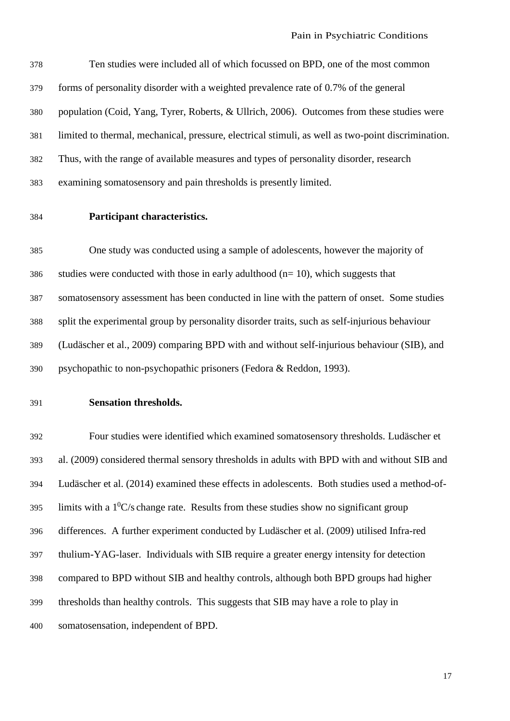Ten studies were included all of which focussed on BPD, one of the most common forms of personality disorder with a weighted prevalence rate of 0.7% of the general population (Coid, Yang, Tyrer, Roberts, & Ullrich, 2006). Outcomes from these studies were limited to thermal, mechanical, pressure, electrical stimuli, as well as two-point discrimination. Thus, with the range of available measures and types of personality disorder, research examining somatosensory and pain thresholds is presently limited.

## **Participant characteristics.**

 One study was conducted using a sample of adolescents, however the majority of studies were conducted with those in early adulthood (n= 10), which suggests that somatosensory assessment has been conducted in line with the pattern of onset. Some studies split the experimental group by personality disorder traits, such as self-injurious behaviour (Ludäscher et al., 2009) comparing BPD with and without self-injurious behaviour (SIB), and psychopathic to non-psychopathic prisoners (Fedora & Reddon, 1993).

#### **Sensation thresholds.**

 Four studies were identified which examined somatosensory thresholds. Ludäscher et al. (2009) considered thermal sensory thresholds in adults with BPD with and without SIB and Ludäscher et al. (2014) examined these effects in adolescents. Both studies used a method-of-395 limits with a  $1^{0}$ C/s change rate. Results from these studies show no significant group differences. A further experiment conducted by Ludäscher et al. (2009) utilised Infra-red thulium-YAG-laser. Individuals with SIB require a greater energy intensity for detection compared to BPD without SIB and healthy controls, although both BPD groups had higher thresholds than healthy controls. This suggests that SIB may have a role to play in somatosensation, independent of BPD.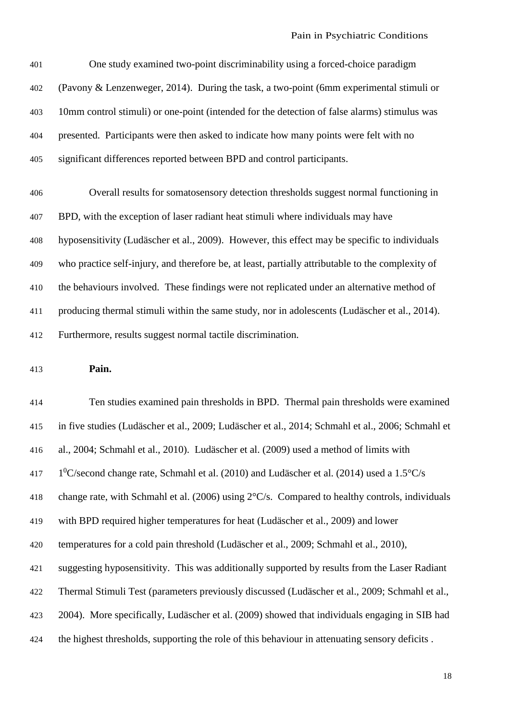One study examined two-point discriminability using a forced-choice paradigm (Pavony & Lenzenweger, 2014). During the task, a two-point (6mm experimental stimuli or 10mm control stimuli) or one-point (intended for the detection of false alarms) stimulus was presented. Participants were then asked to indicate how many points were felt with no significant differences reported between BPD and control participants.

 Overall results for somatosensory detection thresholds suggest normal functioning in BPD, with the exception of laser radiant heat stimuli where individuals may have hyposensitivity (Ludäscher et al., 2009). However, this effect may be specific to individuals who practice self-injury, and therefore be, at least, partially attributable to the complexity of the behaviours involved. These findings were not replicated under an alternative method of producing thermal stimuli within the same study, nor in adolescents (Ludäscher et al., 2014). Furthermore, results suggest normal tactile discrimination.

**Pain.**

 Ten studies examined pain thresholds in BPD. Thermal pain thresholds were examined in five studies (Ludäscher et al., 2009; Ludäscher et al., 2014; Schmahl et al., 2006; Schmahl et al., 2004; Schmahl et al., 2010). Ludäscher et al. (2009) used a method of limits with  $1^0$ C/second change rate, Schmahl et al. (2010) and Ludäscher et al. (2014) used a 1.5°C/s change rate, with Schmahl et al. (2006) using 2°C/s. Compared to healthy controls, individuals with BPD required higher temperatures for heat (Ludäscher et al., 2009) and lower temperatures for a cold pain threshold (Ludäscher et al., 2009; Schmahl et al., 2010), suggesting hyposensitivity. This was additionally supported by results from the Laser Radiant Thermal Stimuli Test (parameters previously discussed (Ludäscher et al., 2009; Schmahl et al., 2004). More specifically, Ludäscher et al. (2009) showed that individuals engaging in SIB had the highest thresholds, supporting the role of this behaviour in attenuating sensory deficits .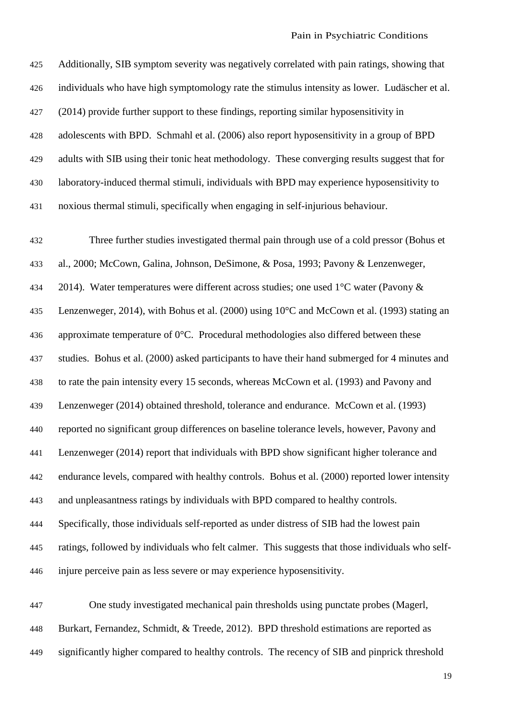| 425 | Additionally, SIB symptom severity was negatively correlated with pain ratings, showing that     |
|-----|--------------------------------------------------------------------------------------------------|
| 426 | individuals who have high symptomology rate the stimulus intensity as lower. Ludäscher et al.    |
| 427 | (2014) provide further support to these findings, reporting similar hyposensitivity in           |
| 428 | adolescents with BPD. Schmahl et al. (2006) also report hyposensitivity in a group of BPD        |
| 429 | adults with SIB using their tonic heat methodology. These converging results suggest that for    |
| 430 | laboratory-induced thermal stimuli, individuals with BPD may experience hyposensitivity to       |
| 431 | noxious thermal stimuli, specifically when engaging in self-injurious behaviour.                 |
| 432 | Three further studies investigated thermal pain through use of a cold pressor (Bohus et          |
| 433 | al., 2000; McCown, Galina, Johnson, DeSimone, & Posa, 1993; Pavony & Lenzenweger,                |
| 434 | 2014). Water temperatures were different across studies; one used $1^{\circ}$ C water (Pavony &  |
| 435 | Lenzenweger, 2014), with Bohus et al. (2000) using 10°C and McCown et al. (1993) stating an      |
| 436 | approximate temperature of $0^{\circ}$ C. Procedural methodologies also differed between these   |
| 437 | studies. Bohus et al. (2000) asked participants to have their hand submerged for 4 minutes and   |
| 438 | to rate the pain intensity every 15 seconds, whereas McCown et al. (1993) and Pavony and         |
| 439 | Lenzenweger (2014) obtained threshold, tolerance and endurance. McCown et al. (1993)             |
| 440 | reported no significant group differences on baseline tolerance levels, however, Pavony and      |
| 441 | Lenzenweger (2014) report that individuals with BPD show significant higher tolerance and        |
| 442 | endurance levels, compared with healthy controls. Bohus et al. (2000) reported lower intensity   |
| 443 | and unpleasantness ratings by individuals with BPD compared to healthy controls.                 |
| 444 | Specifically, those individuals self-reported as under distress of SIB had the lowest pain       |
| 445 | ratings, followed by individuals who felt calmer. This suggests that those individuals who self- |
| 446 | injure perceive pain as less severe or may experience hyposensitivity.                           |
| 447 | One study investigated mechanical pain thresholds using punctate probes (Magerl,                 |

 Burkart, Fernandez, Schmidt, & Treede, 2012). BPD threshold estimations are reported as significantly higher compared to healthy controls. The recency of SIB and pinprick threshold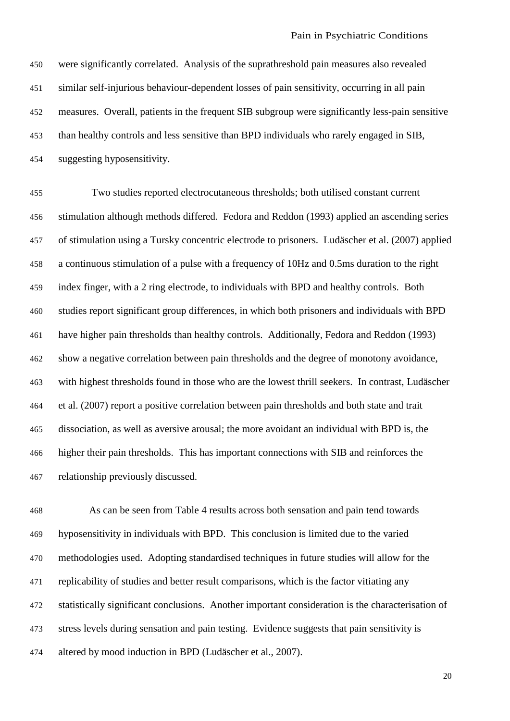were significantly correlated. Analysis of the suprathreshold pain measures also revealed similar self-injurious behaviour-dependent losses of pain sensitivity, occurring in all pain measures. Overall, patients in the frequent SIB subgroup were significantly less-pain sensitive than healthy controls and less sensitive than BPD individuals who rarely engaged in SIB, suggesting hyposensitivity.

 Two studies reported electrocutaneous thresholds; both utilised constant current stimulation although methods differed. Fedora and Reddon (1993) applied an ascending series of stimulation using a Tursky concentric electrode to prisoners. Ludäscher et al. (2007) applied a continuous stimulation of a pulse with a frequency of 10Hz and 0.5ms duration to the right index finger, with a 2 ring electrode, to individuals with BPD and healthy controls. Both studies report significant group differences, in which both prisoners and individuals with BPD have higher pain thresholds than healthy controls. Additionally, Fedora and Reddon (1993) show a negative correlation between pain thresholds and the degree of monotony avoidance, with highest thresholds found in those who are the lowest thrill seekers. In contrast, Ludäscher et al. (2007) report a positive correlation between pain thresholds and both state and trait dissociation, as well as aversive arousal; the more avoidant an individual with BPD is, the higher their pain thresholds. This has important connections with SIB and reinforces the relationship previously discussed.

 As can be seen from Table 4 results across both sensation and pain tend towards hyposensitivity in individuals with BPD. This conclusion is limited due to the varied methodologies used. Adopting standardised techniques in future studies will allow for the replicability of studies and better result comparisons, which is the factor vitiating any statistically significant conclusions. Another important consideration is the characterisation of stress levels during sensation and pain testing. Evidence suggests that pain sensitivity is altered by mood induction in BPD (Ludäscher et al., 2007).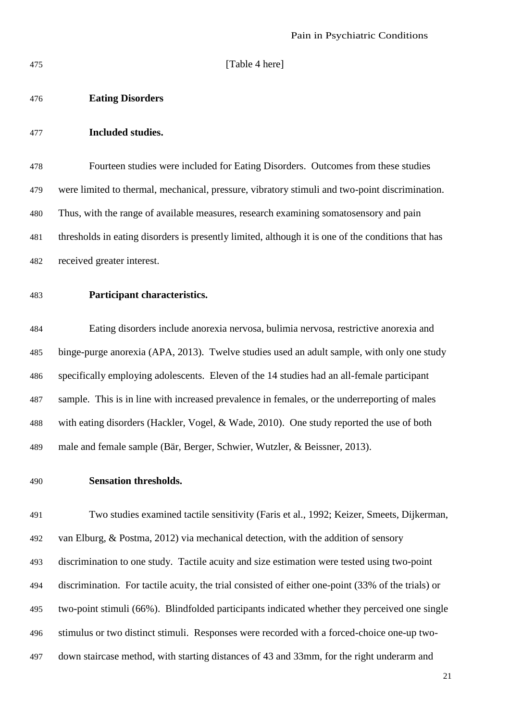**[Table 4 here]** 

#### **Eating Disorders**

#### **Included studies.**

 Fourteen studies were included for Eating Disorders. Outcomes from these studies were limited to thermal, mechanical, pressure, vibratory stimuli and two-point discrimination. Thus, with the range of available measures, research examining somatosensory and pain thresholds in eating disorders is presently limited, although it is one of the conditions that has received greater interest.

## **Participant characteristics.**

 Eating disorders include anorexia nervosa, bulimia nervosa, restrictive anorexia and binge-purge anorexia (APA, 2013). Twelve studies used an adult sample, with only one study specifically employing adolescents. Eleven of the 14 studies had an all-female participant sample. This is in line with increased prevalence in females, or the underreporting of males with eating disorders (Hackler, Vogel, & Wade, 2010). One study reported the use of both male and female sample (Bär, Berger, Schwier, Wutzler, & Beissner, 2013).

#### **Sensation thresholds.**

 Two studies examined tactile sensitivity (Faris et al., 1992; Keizer, Smeets, Dijkerman, van Elburg, & Postma, 2012) via mechanical detection, with the addition of sensory discrimination to one study. Tactile acuity and size estimation were tested using two-point discrimination. For tactile acuity, the trial consisted of either one-point (33% of the trials) or two-point stimuli (66%). Blindfolded participants indicated whether they perceived one single stimulus or two distinct stimuli. Responses were recorded with a forced-choice one-up two-down staircase method, with starting distances of 43 and 33mm, for the right underarm and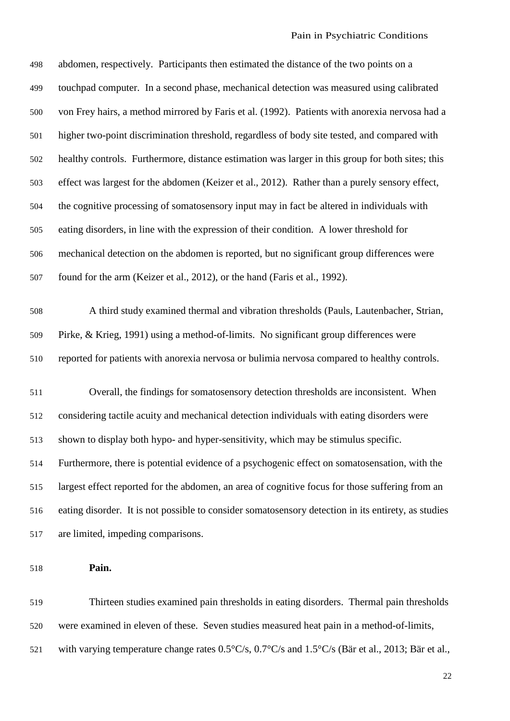| 498 | abdomen, respectively. Participants then estimated the distance of the two points on a              |
|-----|-----------------------------------------------------------------------------------------------------|
| 499 | touchpad computer. In a second phase, mechanical detection was measured using calibrated            |
| 500 | von Frey hairs, a method mirrored by Faris et al. (1992). Patients with anorexia nervosa had a      |
| 501 | higher two-point discrimination threshold, regardless of body site tested, and compared with        |
| 502 | healthy controls. Furthermore, distance estimation was larger in this group for both sites; this    |
| 503 | effect was largest for the abdomen (Keizer et al., 2012). Rather than a purely sensory effect,      |
| 504 | the cognitive processing of somatosensory input may in fact be altered in individuals with          |
| 505 | eating disorders, in line with the expression of their condition. A lower threshold for             |
| 506 | mechanical detection on the abdomen is reported, but no significant group differences were          |
| 507 | found for the arm (Keizer et al., 2012), or the hand (Faris et al., 1992).                          |
| 508 | A third study examined thermal and vibration thresholds (Pauls, Lautenbacher, Strian,               |
| 509 | Pirke, & Krieg, 1991) using a method-of-limits. No significant group differences were               |
| 510 | reported for patients with anorexia nervosa or bulimia nervosa compared to healthy controls.        |
|     |                                                                                                     |
| 511 | Overall, the findings for somatosensory detection thresholds are inconsistent. When                 |
| 512 | considering tactile acuity and mechanical detection individuals with eating disorders were          |
| 513 | shown to display both hypo- and hyper-sensitivity, which may be stimulus specific.                  |
| 514 | Furthermore, there is potential evidence of a psychogenic effect on somatosensation, with the       |
| 515 | largest effect reported for the abdomen, an area of cognitive focus for those suffering from an     |
| 516 | eating disorder. It is not possible to consider somatosensory detection in its entirety, as studies |
| 517 | are limited, impeding comparisons.                                                                  |
|     |                                                                                                     |

## **Pain.**

 Thirteen studies examined pain thresholds in eating disorders. Thermal pain thresholds were examined in eleven of these. Seven studies measured heat pain in a method-of-limits, with varying temperature change rates 0.5°C/s, 0.7°C/s and 1.5°C/s (Bär et al., 2013; Bär et al.,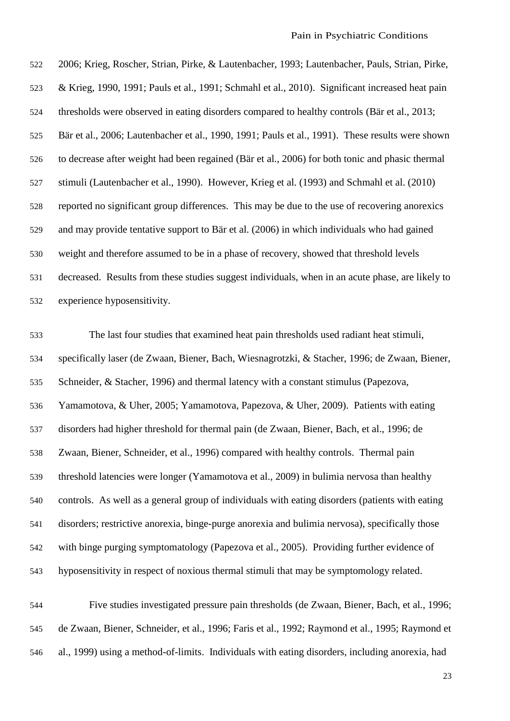2006; Krieg, Roscher, Strian, Pirke, & Lautenbacher, 1993; Lautenbacher, Pauls, Strian, Pirke, & Krieg, 1990, 1991; Pauls et al., 1991; Schmahl et al., 2010). Significant increased heat pain thresholds were observed in eating disorders compared to healthy controls (Bär et al., 2013; Bär et al., 2006; Lautenbacher et al., 1990, 1991; Pauls et al., 1991). These results were shown to decrease after weight had been regained (Bär et al., 2006) for both tonic and phasic thermal stimuli (Lautenbacher et al., 1990). However, Krieg et al. (1993) and Schmahl et al. (2010) reported no significant group differences. This may be due to the use of recovering anorexics and may provide tentative support to Bär et al. (2006) in which individuals who had gained weight and therefore assumed to be in a phase of recovery, showed that threshold levels decreased. Results from these studies suggest individuals, when in an acute phase, are likely to experience hyposensitivity.

 The last four studies that examined heat pain thresholds used radiant heat stimuli, specifically laser (de Zwaan, Biener, Bach, Wiesnagrotzki, & Stacher, 1996; de Zwaan, Biener, Schneider, & Stacher, 1996) and thermal latency with a constant stimulus (Papezova, Yamamotova, & Uher, 2005; Yamamotova, Papezova, & Uher, 2009). Patients with eating disorders had higher threshold for thermal pain (de Zwaan, Biener, Bach, et al., 1996; de Zwaan, Biener, Schneider, et al., 1996) compared with healthy controls. Thermal pain threshold latencies were longer (Yamamotova et al., 2009) in bulimia nervosa than healthy controls. As well as a general group of individuals with eating disorders (patients with eating disorders; restrictive anorexia, binge-purge anorexia and bulimia nervosa), specifically those with binge purging symptomatology (Papezova et al., 2005). Providing further evidence of hyposensitivity in respect of noxious thermal stimuli that may be symptomology related.

 Five studies investigated pressure pain thresholds (de Zwaan, Biener, Bach, et al., 1996; de Zwaan, Biener, Schneider, et al., 1996; Faris et al., 1992; Raymond et al., 1995; Raymond et al., 1999) using a method-of-limits. Individuals with eating disorders, including anorexia, had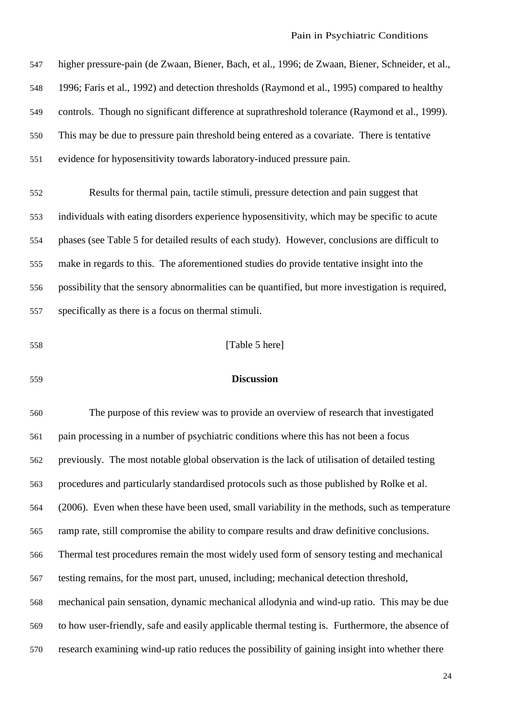higher pressure-pain (de Zwaan, Biener, Bach, et al., 1996; de Zwaan, Biener, Schneider, et al., 1996; Faris et al., 1992) and detection thresholds (Raymond et al., 1995) compared to healthy controls. Though no significant difference at suprathreshold tolerance (Raymond et al., 1999). This may be due to pressure pain threshold being entered as a covariate. There is tentative evidence for hyposensitivity towards laboratory-induced pressure pain.

 Results for thermal pain, tactile stimuli, pressure detection and pain suggest that individuals with eating disorders experience hyposensitivity, which may be specific to acute phases (see Table 5 for detailed results of each study). However, conclusions are difficult to make in regards to this. The aforementioned studies do provide tentative insight into the possibility that the sensory abnormalities can be quantified, but more investigation is required, specifically as there is a focus on thermal stimuli.

**[Table 5 here]** 

#### **Discussion**

 The purpose of this review was to provide an overview of research that investigated pain processing in a number of psychiatric conditions where this has not been a focus previously. The most notable global observation is the lack of utilisation of detailed testing procedures and particularly standardised protocols such as those published by Rolke et al. (2006). Even when these have been used, small variability in the methods, such as temperature ramp rate, still compromise the ability to compare results and draw definitive conclusions. Thermal test procedures remain the most widely used form of sensory testing and mechanical testing remains, for the most part, unused, including; mechanical detection threshold, mechanical pain sensation, dynamic mechanical allodynia and wind-up ratio. This may be due to how user-friendly, safe and easily applicable thermal testing is. Furthermore, the absence of research examining wind-up ratio reduces the possibility of gaining insight into whether there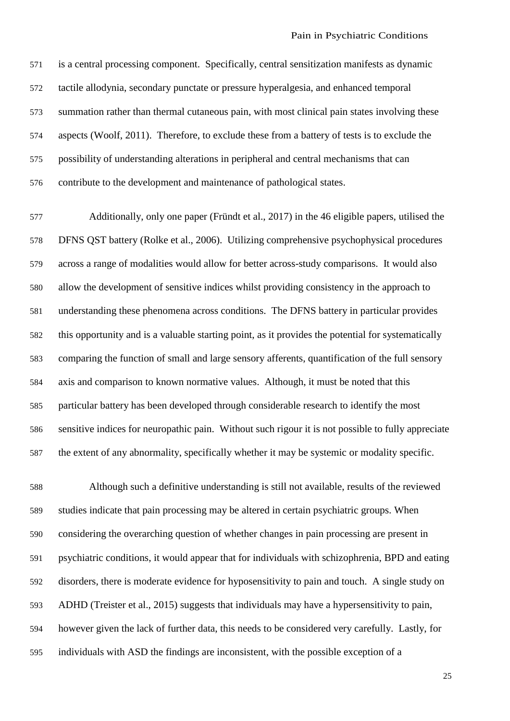is a central processing component. Specifically, central sensitization manifests as dynamic tactile allodynia, secondary punctate or pressure hyperalgesia, and enhanced temporal summation rather than thermal cutaneous pain, with most clinical pain states involving these aspects (Woolf, 2011). Therefore, to exclude these from a battery of tests is to exclude the possibility of understanding alterations in peripheral and central mechanisms that can contribute to the development and maintenance of pathological states.

 Additionally, only one paper (Fründt et al., 2017) in the 46 eligible papers, utilised the DFNS QST battery (Rolke et al., 2006). Utilizing comprehensive psychophysical procedures across a range of modalities would allow for better across-study comparisons. It would also allow the development of sensitive indices whilst providing consistency in the approach to understanding these phenomena across conditions. The DFNS battery in particular provides this opportunity and is a valuable starting point, as it provides the potential for systematically comparing the function of small and large sensory afferents, quantification of the full sensory axis and comparison to known normative values. Although, it must be noted that this particular battery has been developed through considerable research to identify the most sensitive indices for neuropathic pain. Without such rigour it is not possible to fully appreciate the extent of any abnormality, specifically whether it may be systemic or modality specific.

 Although such a definitive understanding is still not available, results of the reviewed studies indicate that pain processing may be altered in certain psychiatric groups. When considering the overarching question of whether changes in pain processing are present in psychiatric conditions, it would appear that for individuals with schizophrenia, BPD and eating disorders, there is moderate evidence for hyposensitivity to pain and touch. A single study on ADHD (Treister et al., 2015) suggests that individuals may have a hypersensitivity to pain, however given the lack of further data, this needs to be considered very carefully. Lastly, for individuals with ASD the findings are inconsistent, with the possible exception of a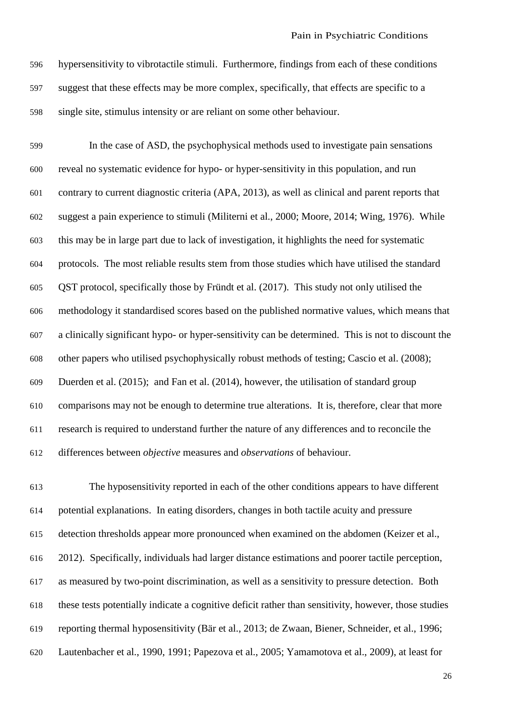hypersensitivity to vibrotactile stimuli. Furthermore, findings from each of these conditions suggest that these effects may be more complex, specifically, that effects are specific to a single site, stimulus intensity or are reliant on some other behaviour.

 In the case of ASD, the psychophysical methods used to investigate pain sensations reveal no systematic evidence for hypo- or hyper-sensitivity in this population, and run contrary to current diagnostic criteria (APA, 2013), as well as clinical and parent reports that suggest a pain experience to stimuli (Militerni et al., 2000; Moore, 2014; Wing, 1976). While this may be in large part due to lack of investigation, it highlights the need for systematic protocols. The most reliable results stem from those studies which have utilised the standard QST protocol, specifically those by Fründt et al. (2017). This study not only utilised the methodology it standardised scores based on the published normative values, which means that a clinically significant hypo- or hyper-sensitivity can be determined. This is not to discount the other papers who utilised psychophysically robust methods of testing; Cascio et al. (2008); Duerden et al. (2015); and Fan et al. (2014), however, the utilisation of standard group comparisons may not be enough to determine true alterations. It is, therefore, clear that more research is required to understand further the nature of any differences and to reconcile the differences between *objective* measures and *observations* of behaviour.

 The hyposensitivity reported in each of the other conditions appears to have different potential explanations. In eating disorders, changes in both tactile acuity and pressure detection thresholds appear more pronounced when examined on the abdomen (Keizer et al., 2012). Specifically, individuals had larger distance estimations and poorer tactile perception, as measured by two-point discrimination, as well as a sensitivity to pressure detection. Both these tests potentially indicate a cognitive deficit rather than sensitivity, however, those studies reporting thermal hyposensitivity (Bär et al., 2013; de Zwaan, Biener, Schneider, et al., 1996; Lautenbacher et al., 1990, 1991; Papezova et al., 2005; Yamamotova et al., 2009), at least for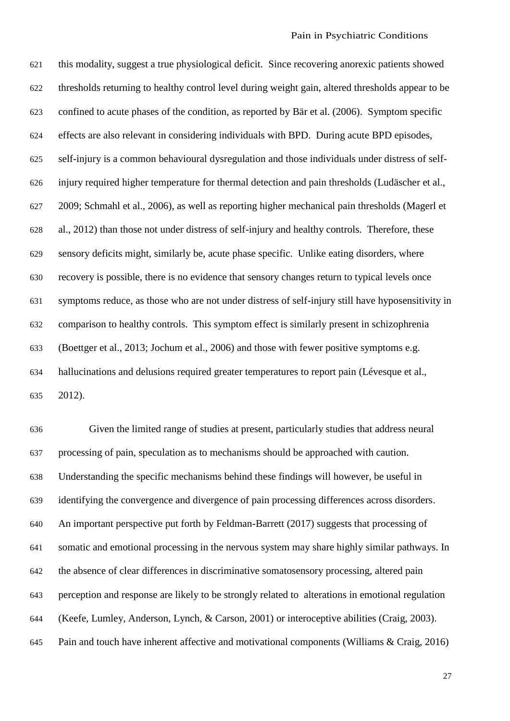this modality, suggest a true physiological deficit. Since recovering anorexic patients showed thresholds returning to healthy control level during weight gain, altered thresholds appear to be confined to acute phases of the condition, as reported by Bär et al. (2006). Symptom specific effects are also relevant in considering individuals with BPD. During acute BPD episodes, self-injury is a common behavioural dysregulation and those individuals under distress of self- injury required higher temperature for thermal detection and pain thresholds (Ludäscher et al., 2009; Schmahl et al., 2006), as well as reporting higher mechanical pain thresholds (Magerl et al., 2012) than those not under distress of self-injury and healthy controls. Therefore, these sensory deficits might, similarly be, acute phase specific. Unlike eating disorders, where recovery is possible, there is no evidence that sensory changes return to typical levels once symptoms reduce, as those who are not under distress of self-injury still have hyposensitivity in comparison to healthy controls. This symptom effect is similarly present in schizophrenia (Boettger et al., 2013; Jochum et al., 2006) and those with fewer positive symptoms e.g. hallucinations and delusions required greater temperatures to report pain (Lévesque et al., 2012).

 Given the limited range of studies at present, particularly studies that address neural processing of pain, speculation as to mechanisms should be approached with caution. Understanding the specific mechanisms behind these findings will however, be useful in identifying the convergence and divergence of pain processing differences across disorders. An important perspective put forth by Feldman-Barrett (2017) suggests that processing of somatic and emotional processing in the nervous system may share highly similar pathways. In the absence of clear differences in discriminative somatosensory processing, altered pain perception and response are likely to be strongly related to alterations in emotional regulation (Keefe, Lumley, Anderson, Lynch, & Carson, 2001) or interoceptive abilities (Craig, 2003). Pain and touch have inherent affective and motivational components (Williams & Craig, 2016)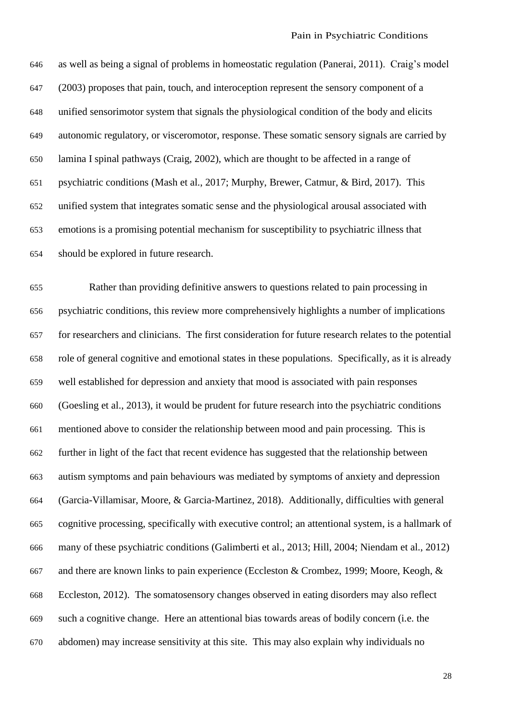as well as being a signal of problems in homeostatic regulation (Panerai, 2011). Craig's model (2003) proposes that pain, touch, and interoception represent the sensory component of a unified sensorimotor system that signals the physiological condition of the body and elicits autonomic regulatory, or visceromotor, response. These somatic sensory signals are carried by lamina I spinal pathways (Craig, 2002), which are thought to be affected in a range of psychiatric conditions (Mash et al., 2017; Murphy, Brewer, Catmur, & Bird, 2017). This unified system that integrates somatic sense and the physiological arousal associated with emotions is a promising potential mechanism for susceptibility to psychiatric illness that should be explored in future research.

 Rather than providing definitive answers to questions related to pain processing in psychiatric conditions, this review more comprehensively highlights a number of implications for researchers and clinicians. The first consideration for future research relates to the potential role of general cognitive and emotional states in these populations. Specifically, as it is already well established for depression and anxiety that mood is associated with pain responses (Goesling et al., 2013), it would be prudent for future research into the psychiatric conditions mentioned above to consider the relationship between mood and pain processing. This is further in light of the fact that recent evidence has suggested that the relationship between autism symptoms and pain behaviours was mediated by symptoms of anxiety and depression (Garcia-Villamisar, Moore, & Garcia-Martinez, 2018). Additionally, difficulties with general cognitive processing, specifically with executive control; an attentional system, is a hallmark of many of these psychiatric conditions (Galimberti et al., 2013; Hill, 2004; Niendam et al., 2012) and there are known links to pain experience (Eccleston & Crombez, 1999; Moore, Keogh, & Eccleston, 2012). The somatosensory changes observed in eating disorders may also reflect such a cognitive change. Here an attentional bias towards areas of bodily concern (i.e. the abdomen) may increase sensitivity at this site. This may also explain why individuals no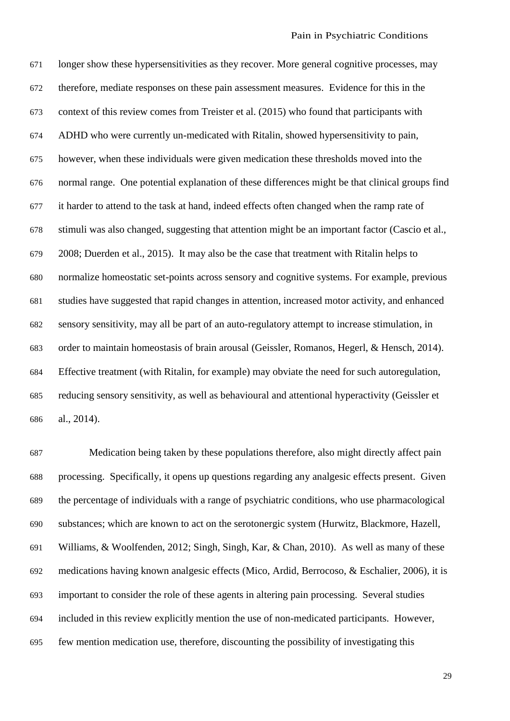longer show these hypersensitivities as they recover. More general cognitive processes, may therefore, mediate responses on these pain assessment measures. Evidence for this in the context of this review comes from Treister et al. (2015) who found that participants with ADHD who were currently un-medicated with Ritalin, showed hypersensitivity to pain, however, when these individuals were given medication these thresholds moved into the normal range. One potential explanation of these differences might be that clinical groups find it harder to attend to the task at hand, indeed effects often changed when the ramp rate of stimuli was also changed, suggesting that attention might be an important factor (Cascio et al., 2008; Duerden et al., 2015). It may also be the case that treatment with Ritalin helps to normalize homeostatic set-points across sensory and cognitive systems. For example, previous studies have suggested that rapid changes in attention, increased motor activity, and enhanced sensory sensitivity, may all be part of an auto-regulatory attempt to increase stimulation, in order to maintain homeostasis of brain arousal (Geissler, Romanos, Hegerl, & Hensch, 2014). Effective treatment (with Ritalin, for example) may obviate the need for such autoregulation, reducing sensory sensitivity, as well as behavioural and attentional hyperactivity (Geissler et al., 2014).

 Medication being taken by these populations therefore, also might directly affect pain processing. Specifically, it opens up questions regarding any analgesic effects present. Given the percentage of individuals with a range of psychiatric conditions, who use pharmacological substances; which are known to act on the serotonergic system (Hurwitz, Blackmore, Hazell, Williams, & Woolfenden, 2012; Singh, Singh, Kar, & Chan, 2010). As well as many of these medications having known analgesic effects (Mico, Ardid, Berrocoso, & Eschalier, 2006), it is important to consider the role of these agents in altering pain processing. Several studies included in this review explicitly mention the use of non-medicated participants. However, few mention medication use, therefore, discounting the possibility of investigating this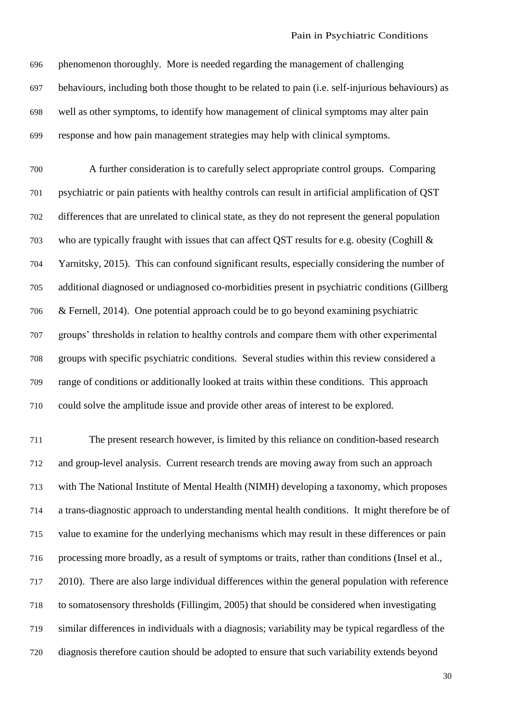phenomenon thoroughly. More is needed regarding the management of challenging behaviours, including both those thought to be related to pain (i.e. self-injurious behaviours) as well as other symptoms, to identify how management of clinical symptoms may alter pain response and how pain management strategies may help with clinical symptoms.

 A further consideration is to carefully select appropriate control groups. Comparing psychiatric or pain patients with healthy controls can result in artificial amplification of QST differences that are unrelated to clinical state, as they do not represent the general population who are typically fraught with issues that can affect QST results for e.g. obesity (Coghill & Yarnitsky, 2015). This can confound significant results, especially considering the number of additional diagnosed or undiagnosed co-morbidities present in psychiatric conditions (Gillberg & Fernell, 2014). One potential approach could be to go beyond examining psychiatric groups' thresholds in relation to healthy controls and compare them with other experimental groups with specific psychiatric conditions. Several studies within this review considered a range of conditions or additionally looked at traits within these conditions. This approach could solve the amplitude issue and provide other areas of interest to be explored.

 The present research however, is limited by this reliance on condition-based research and group-level analysis. Current research trends are moving away from such an approach with The National Institute of Mental Health (NIMH) developing a taxonomy, which proposes a trans-diagnostic approach to understanding mental health conditions. It might therefore be of value to examine for the underlying mechanisms which may result in these differences or pain processing more broadly, as a result of symptoms or traits, rather than conditions (Insel et al., 2010). There are also large individual differences within the general population with reference to somatosensory thresholds (Fillingim, 2005) that should be considered when investigating similar differences in individuals with a diagnosis; variability may be typical regardless of the diagnosis therefore caution should be adopted to ensure that such variability extends beyond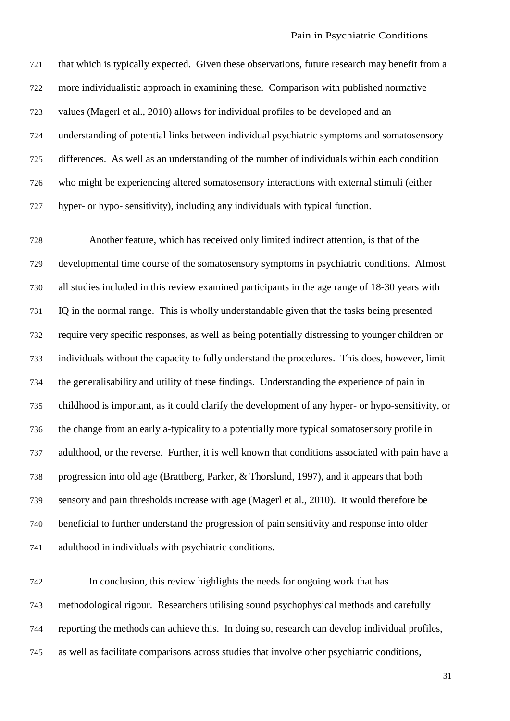that which is typically expected. Given these observations, future research may benefit from a more individualistic approach in examining these. Comparison with published normative values (Magerl et al., 2010) allows for individual profiles to be developed and an understanding of potential links between individual psychiatric symptoms and somatosensory differences. As well as an understanding of the number of individuals within each condition who might be experiencing altered somatosensory interactions with external stimuli (either hyper- or hypo- sensitivity), including any individuals with typical function.

 Another feature, which has received only limited indirect attention, is that of the developmental time course of the somatosensory symptoms in psychiatric conditions. Almost all studies included in this review examined participants in the age range of 18-30 years with IQ in the normal range. This is wholly understandable given that the tasks being presented require very specific responses, as well as being potentially distressing to younger children or individuals without the capacity to fully understand the procedures. This does, however, limit the generalisability and utility of these findings. Understanding the experience of pain in childhood is important, as it could clarify the development of any hyper- or hypo-sensitivity, or the change from an early a-typicality to a potentially more typical somatosensory profile in adulthood, or the reverse. Further, it is well known that conditions associated with pain have a progression into old age (Brattberg, Parker, & Thorslund, 1997), and it appears that both sensory and pain thresholds increase with age (Magerl et al., 2010). It would therefore be beneficial to further understand the progression of pain sensitivity and response into older adulthood in individuals with psychiatric conditions.

 In conclusion, this review highlights the needs for ongoing work that has methodological rigour. Researchers utilising sound psychophysical methods and carefully reporting the methods can achieve this. In doing so, research can develop individual profiles, as well as facilitate comparisons across studies that involve other psychiatric conditions,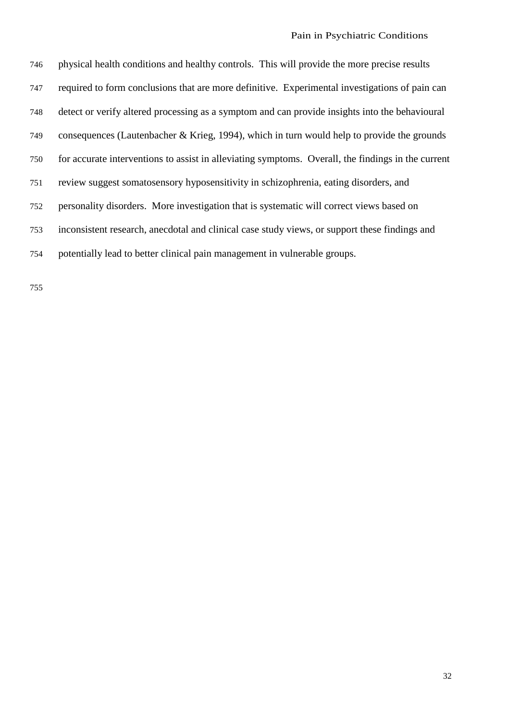physical health conditions and healthy controls. This will provide the more precise results required to form conclusions that are more definitive. Experimental investigations of pain can detect or verify altered processing as a symptom and can provide insights into the behavioural consequences (Lautenbacher & Krieg, 1994), which in turn would help to provide the grounds for accurate interventions to assist in alleviating symptoms. Overall, the findings in the current review suggest somatosensory hyposensitivity in schizophrenia, eating disorders, and personality disorders. More investigation that is systematic will correct views based on inconsistent research, anecdotal and clinical case study views, or support these findings and potentially lead to better clinical pain management in vulnerable groups.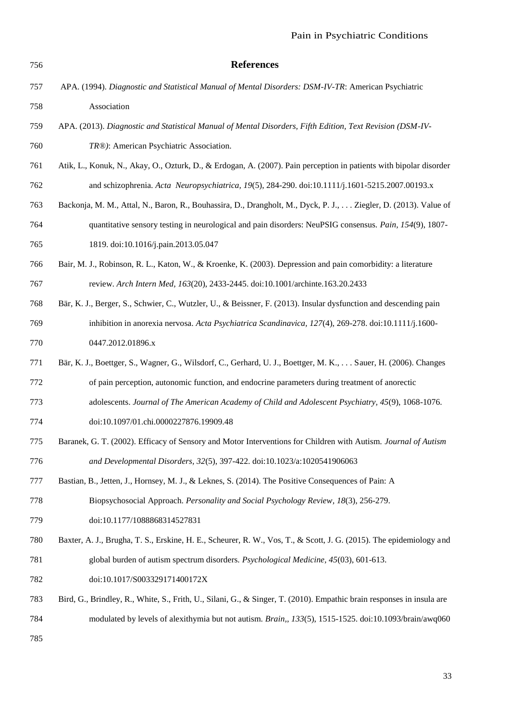| 756 | <b>References</b>                                                                                                     |
|-----|-----------------------------------------------------------------------------------------------------------------------|
| 757 | APA. (1994). Diagnostic and Statistical Manual of Mental Disorders: DSM-IV-TR: American Psychiatric                   |
| 758 | Association                                                                                                           |
| 759 | APA. (2013). Diagnostic and Statistical Manual of Mental Disorders, Fifth Edition, Text Revision (DSM-IV-             |
| 760 | TR®): American Psychiatric Association.                                                                               |
| 761 | Atik, L., Konuk, N., Akay, O., Ozturk, D., & Erdogan, A. (2007). Pain perception in patients with bipolar disorder    |
| 762 | and schizophrenia. Acta Neuropsychiatrica, 19(5), 284-290. doi:10.1111/j.1601-5215.2007.00193.x                       |
| 763 | Backonja, M. M., Attal, N., Baron, R., Bouhassira, D., Drangholt, M., Dyck, P. J., Ziegler, D. (2013). Value of       |
| 764 | quantitative sensory testing in neurological and pain disorders: NeuPSIG consensus. Pain, 154(9), 1807-               |
| 765 | 1819. doi:10.1016/j.pain.2013.05.047                                                                                  |
| 766 | Bair, M. J., Robinson, R. L., Katon, W., & Kroenke, K. (2003). Depression and pain comorbidity: a literature          |
| 767 | review. Arch Intern Med, 163(20), 2433-2445. doi:10.1001/archinte.163.20.2433                                         |
| 768 | Bär, K. J., Berger, S., Schwier, C., Wutzler, U., & Beissner, F. (2013). Insular dysfunction and descending pain      |
| 769 | inhibition in anorexia nervosa. Acta Psychiatrica Scandinavica, 127(4), 269-278. doi:10.1111/j.1600-                  |
| 770 | 0447.2012.01896.x                                                                                                     |
| 771 | Bär, K. J., Boettger, S., Wagner, G., Wilsdorf, C., Gerhard, U. J., Boettger, M. K.,  Sauer, H. (2006). Changes       |
| 772 | of pain perception, autonomic function, and endocrine parameters during treatment of anorectic                        |
| 773 | adolescents. Journal of The American Academy of Child and Adolescent Psychiatry, 45(9), 1068-1076.                    |
| 774 | doi:10.1097/01.chi.0000227876.19909.48                                                                                |
| 775 | Baranek, G. T. (2002). Efficacy of Sensory and Motor Interventions for Children with Autism. Journal of Autism        |
| 776 | and Developmental Disorders, 32(5), 397-422. doi:10.1023/a:1020541906063                                              |
| 777 | Bastian, B., Jetten, J., Hornsey, M. J., & Leknes, S. (2014). The Positive Consequences of Pain: A                    |
| 778 | Biopsychosocial Approach. Personality and Social Psychology Review, 18(3), 256-279.                                   |
| 779 | doi:10.1177/1088868314527831                                                                                          |
| 780 | Baxter, A. J., Brugha, T. S., Erskine, H. E., Scheurer, R. W., Vos, T., & Scott, J. G. (2015). The epidemiology and   |
| 781 | global burden of autism spectrum disorders. Psychological Medicine, 45(03), 601-613.                                  |
| 782 | doi:10.1017/S003329171400172X                                                                                         |
| 783 | Bird, G., Brindley, R., White, S., Frith, U., Silani, G., & Singer, T. (2010). Empathic brain responses in insula are |
| 784 | modulated by levels of alexithymia but not autism. Brain,, 133(5), 1515-1525. doi:10.1093/brain/awq060                |
| 785 |                                                                                                                       |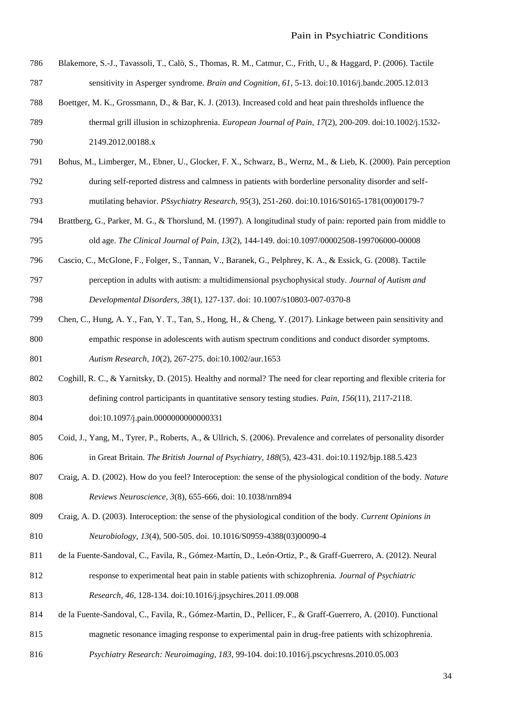- Blakemore, S.-J., Tavassoli, T., Calò, S., Thomas, R. M., Catmur, C., Frith, U., & Haggard, P. (2006). Tactile sensitivity in Asperger syndrome. *Brain and Cognition, 61*, 5-13. doi:10.1016/j.bandc.2005.12.013
- Boettger, M. K., Grossmann, D., & Bar, K. J. (2013). Increased cold and heat pain thresholds influence the
- thermal grill illusion in schizophrenia. *European Journal of Pain, 17*(2), 200-209. doi:10.1002/j.1532- 2149.2012.00188.x
- Bohus, M., Limberger, M., Ebner, U., Glocker, F. X., Schwarz, B., Wernz, M., & Lieb, K. (2000). Pain perception during self-reported distress and calmness in patients with borderline personality disorder and self-mutilating behavior. *PSsychiatry Research, 95*(3), 251-260. doi:10.1016/S0165-1781(00)00179-7
- Brattberg, G., Parker, M. G., & Thorslund, M. (1997). A longitudinal study of pain: reported pain from middle to old age. *The Clinical Journal of Pain, 13*(2), 144-149. doi:10.1097/00002508-199706000-00008
- Cascio, C., McGlone, F., Folger, S., Tannan, V., Baranek, G., Pelphrey, K. A., & Essick, G. (2008). Tactile
- perception in adults with autism: a multidimensional psychophysical study. *Journal of Autism and Developmental Disorders, 38*(1), 127-137. doi: 10.1007/s10803-007-0370-8
- Chen, C., Hung, A. Y., Fan, Y. T., Tan, S., Hong, H., & Cheng, Y. (2017). Linkage between pain sensitivity and empathic response in adolescents with autism spectrum conditions and conduct disorder symptoms. *Autism Research, 10*(2), 267-275. doi:10.1002/aur.1653
- Coghill, R. C., & Yarnitsky, D. (2015). Healthy and normal? The need for clear reporting and flexible criteria for defining control participants in quantitative sensory testing studies. *Pain, 156*(11), 2117-2118.
- doi:10.1097/j.pain.0000000000000331
- Coid, J., Yang, M., Tyrer, P., Roberts, A., & Ullrich, S. (2006). Prevalence and correlates of personality disorder in Great Britain. *The British Journal of Psychiatry, 188*(5), 423-431. doi:10.1192/bjp.188.5.423
- Craig, A. D. (2002). How do you feel? Interoception: the sense of the physiological condition of the body. *Nature Reviews Neuroscience, 3*(8), 655-666, doi: 10.1038/nrn894
- Craig, A. D. (2003). Interoception: the sense of the physiological condition of the body. *Current Opinions in Neurobiology, 13*(4), 500-505. doi. 10.1016/S0959-4388(03)00090-4
- de la Fuente-Sandoval, C., Favila, R., Gómez-Martín, D., León-Ortiz, P., & Graff-Guerrero, A. (2012). Neural
- response to experimental heat pain in stable patients with schizophrenia. *Journal of Psychiatric*
- *Research, 46*, 128-134. doi:10.1016/j.jpsychires.2011.09.008
- de la Fuente-Sandoval, C., Favila, R., Gómez-Martin, D., Pellicer, F., & Graff-Guerrero, A. (2010). Functional
- magnetic resonance imaging response to experimental pain in drug-free patients with schizophrenia.
- *Psychiatry Research: Neuroimaging, 183*, 99-104. doi:10.1016/j.pscychresns.2010.05.003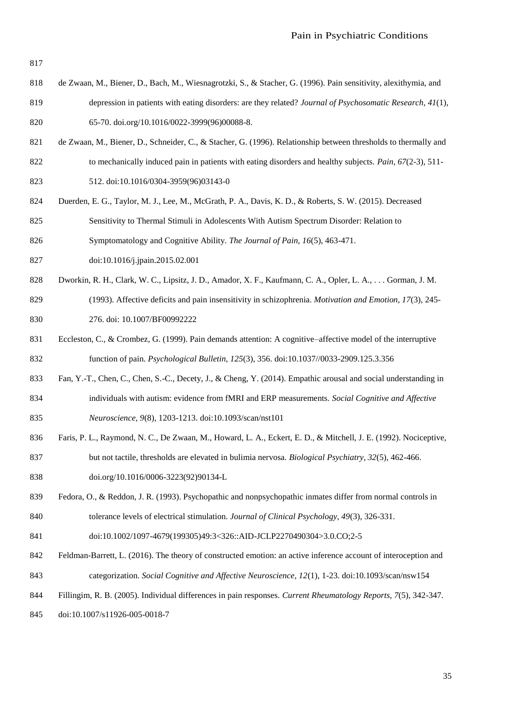- de Zwaan, M., Biener, D., Bach, M., Wiesnagrotzki, S., & Stacher, G. (1996). Pain sensitivity, alexithymia, and depression in patients with eating disorders: are they related? *Journal of Psychosomatic Research, 41*(1), 65-70. doi.org/10.1016/0022-3999(96)00088-8.
- de Zwaan, M., Biener, D., Schneider, C., & Stacher, G. (1996). Relationship between thresholds to thermally and to mechanically induced pain in patients with eating disorders and healthy subjects. *Pain, 67*(2-3), 511-
- 512. doi:10.1016/0304-3959(96)03143-0
- Duerden, E. G., Taylor, M. J., Lee, M., McGrath, P. A., Davis, K. D., & Roberts, S. W. (2015). Decreased Sensitivity to Thermal Stimuli in Adolescents With Autism Spectrum Disorder: Relation to
- Symptomatology and Cognitive Ability. *The Journal of Pain, 16*(5), 463-471.
- doi:10.1016/j.jpain.2015.02.001
- Dworkin, R. H., Clark, W. C., Lipsitz, J. D., Amador, X. F., Kaufmann, C. A., Opler, L. A., . . . Gorman, J. M.
- (1993). Affective deficits and pain insensitivity in schizophrenia. *Motivation and Emotion, 17*(3), 245- 276. doi: 10.1007/BF00992222
- 831 Eccleston, C., & Crombez, G. (1999). Pain demands attention: A cognitive–affective model of the interruptive function of pain. *Psychological Bulletin, 125*(3), 356. doi:10.1037//0033-2909.125.3.356
- Fan, Y.-T., Chen, C., Chen, S.-C., Decety, J., & Cheng, Y. (2014). Empathic arousal and social understanding in individuals with autism: evidence from fMRI and ERP measurements. *Social Cognitive and Affective*
- *Neuroscience, 9*(8), 1203-1213. doi:10.1093/scan/nst101
- 836 Faris, P. L., Raymond, N. C., De Zwaan, M., Howard, L. A., Eckert, E. D., & Mitchell, J. E. (1992). Nociceptive, but not tactile, thresholds are elevated in bulimia nervosa. *Biological Psychiatry, 32*(5), 462-466. doi.org/10.1016/0006-3223(92)90134-L
- Fedora, O., & Reddon, J. R. (1993). Psychopathic and nonpsychopathic inmates differ from normal controls in tolerance levels of electrical stimulation. *Journal of Clinical Psychology, 49*(3), 326-331.
- doi:10.1002/1097-4679(199305)49:3<326::AID-JCLP2270490304>3.0.CO;2-5
- Feldman-Barrett, L. (2016). The theory of constructed emotion: an active inference account of interoception and categorization. *Social Cognitive and Affective Neuroscience, 12*(1), 1-23. doi:10.1093/scan/nsw154
- Fillingim, R. B. (2005). Individual differences in pain responses. *Current Rheumatology Reports, 7*(5), 342-347.
- doi:10.1007/s11926-005-0018-7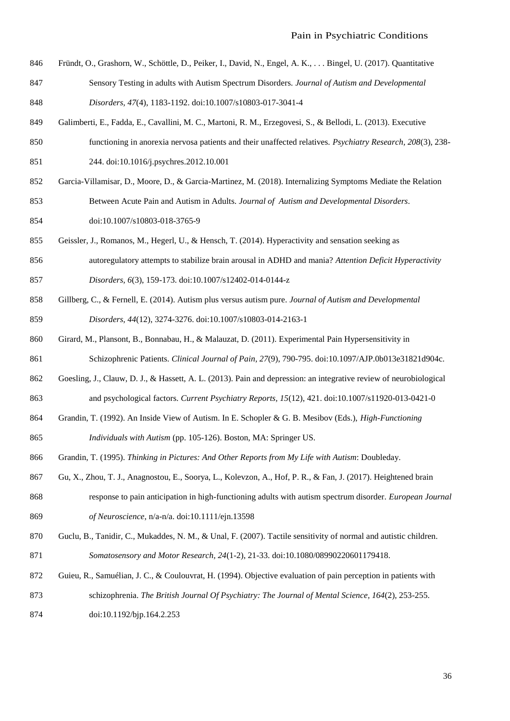Fründt, O., Grashorn, W., Schöttle, D., Peiker, I., David, N., Engel, A. K., . . . Bingel, U. (2017). Quantitative Sensory Testing in adults with Autism Spectrum Disorders. *Journal of Autism and Developmental* 

Galimberti, E., Fadda, E., Cavallini, M. C., Martoni, R. M., Erzegovesi, S., & Bellodi, L. (2013). Executive

- *Disorders, 47*(4), 1183-1192. doi:10.1007/s10803-017-3041-4
- functioning in anorexia nervosa patients and their unaffected relatives. *Psychiatry Research, 208*(3), 238- 244. doi:10.1016/j.psychres.2012.10.001
- Garcia-Villamisar, D., Moore, D., & Garcia-Martinez, M. (2018). Internalizing Symptoms Mediate the Relation Between Acute Pain and Autism in Adults. *Journal of Autism and Developmental Disorders*. doi:10.1007/s10803-018-3765-9
- Geissler, J., Romanos, M., Hegerl, U., & Hensch, T. (2014). Hyperactivity and sensation seeking as
- autoregulatory attempts to stabilize brain arousal in ADHD and mania? *Attention Deficit Hyperactivity Disorders, 6*(3), 159-173. doi:10.1007/s12402-014-0144-z
- Gillberg, C., & Fernell, E. (2014). Autism plus versus autism pure. *Journal of Autism and Developmental Disorders, 44*(12), 3274-3276. doi:10.1007/s10803-014-2163-1
- Girard, M., Plansont, B., Bonnabau, H., & Malauzat, D. (2011). Experimental Pain Hypersensitivity in Schizophrenic Patients. *Clinical Journal of Pain, 27*(9), 790-795. doi:10.1097/AJP.0b013e31821d904c.
- Goesling, J., Clauw, D. J., & Hassett, A. L. (2013). Pain and depression: an integrative review of neurobiological and psychological factors. *Current Psychiatry Reports, 15*(12), 421. doi:10.1007/s11920-013-0421-0
- Grandin, T. (1992). An Inside View of Autism. In E. Schopler & G. B. Mesibov (Eds.), *High-Functioning Individuals with Autism* (pp. 105-126). Boston, MA: Springer US.
- Grandin, T. (1995). *Thinking in Pictures: And Other Reports from My Life with Autism*: Doubleday.
- Gu, X., Zhou, T. J., Anagnostou, E., Soorya, L., Kolevzon, A., Hof, P. R., & Fan, J. (2017). Heightened brain
- response to pain anticipation in high-functioning adults with autism spectrum disorder. *European Journal of Neuroscience*, n/a-n/a. doi:10.1111/ejn.13598
- 870 Guclu, B., Tanidir, C., Mukaddes, N. M., & Unal, F. (2007). Tactile sensitivity of normal and autistic children. *Somatosensory and Motor Research, 24*(1-2), 21-33. doi:10.1080/08990220601179418.
- 872 Guieu, R., Samuélian, J. C., & Coulouvrat, H. (1994). Objective evaluation of pain perception in patients with schizophrenia. *The British Journal Of Psychiatry: The Journal of Mental Science, 164*(2), 253-255.
- doi:10.1192/bjp.164.2.253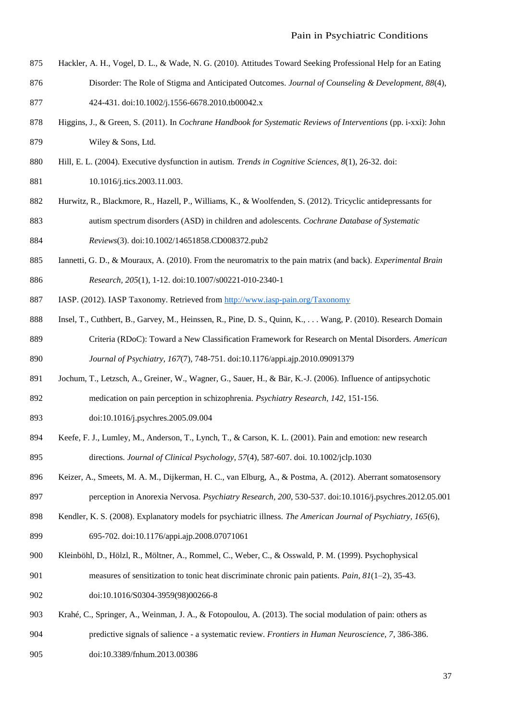- Hackler, A. H., Vogel, D. L., & Wade, N. G. (2010). Attitudes Toward Seeking Professional Help for an Eating
- Disorder: The Role of Stigma and Anticipated Outcomes. *Journal of Counseling & Development, 88*(4), 424-431. doi:10.1002/j.1556-6678.2010.tb00042.x
- Higgins, J., & Green, S. (2011). In *Cochrane Handbook for Systematic Reviews of Interventions* (pp. i-xxi): John Wiley & Sons, Ltd.
- Hill, E. L. (2004). Executive dysfunction in autism. *Trends in Cognitive Sciences, 8*(1), 26-32. doi:
- 881 10.1016/j.tics.2003.11.003.
- Hurwitz, R., Blackmore, R., Hazell, P., Williams, K., & Woolfenden, S. (2012). Tricyclic antidepressants for autism spectrum disorders (ASD) in children and adolescents. *Cochrane Database of Systematic*
- *Reviews*(3). doi:10.1002/14651858.CD008372.pub2
- Iannetti, G. D., & Mouraux, A. (2010). From the neuromatrix to the pain matrix (and back). *Experimental Brain Research, 205*(1), 1-12. doi:10.1007/s00221-010-2340-1
- IASP. (2012). IASP Taxonomy. Retrieved from<http://www.iasp-pain.org/Taxonomy>
- Insel, T., Cuthbert, B., Garvey, M., Heinssen, R., Pine, D. S., Quinn, K., . . . Wang, P. (2010). Research Domain Criteria (RDoC): Toward a New Classification Framework for Research on Mental Disorders. *American Journal of Psychiatry, 167*(7), 748-751. doi:10.1176/appi.ajp.2010.09091379
- Jochum, T., Letzsch, A., Greiner, W., Wagner, G., Sauer, H., & Bär, K.-J. (2006). Influence of antipsychotic
- medication on pain perception in schizophrenia. *Psychiatry Research, 142*, 151-156.
- doi:10.1016/j.psychres.2005.09.004
- Keefe, F. J., Lumley, M., Anderson, T., Lynch, T., & Carson, K. L. (2001). Pain and emotion: new research directions. *Journal of Clinical Psychology, 57*(4), 587-607. doi. 10.1002/jclp.1030
- Keizer, A., Smeets, M. A. M., Dijkerman, H. C., van Elburg, A., & Postma, A. (2012). Aberrant somatosensory perception in Anorexia Nervosa. *Psychiatry Research, 200*, 530-537. doi:10.1016/j.psychres.2012.05.001
- Kendler, K. S. (2008). Explanatory models for psychiatric illness. *The American Journal of Psychiatry, 165*(6), 695-702. doi:10.1176/appi.ajp.2008.07071061
- Kleinböhl, D., Hölzl, R., Möltner, A., Rommel, C., Weber, C., & Osswald, P. M. (1999). Psychophysical
- measures of sensitization to tonic heat discriminate chronic pain patients. *Pain, 81*(1–2), 35-43. doi:10.1016/S0304-3959(98)00266-8
- Krahé, C., Springer, A., Weinman, J. A., & Fotopoulou, A. (2013). The social modulation of pain: others as predictive signals of salience - a systematic review. *Frontiers in Human Neuroscience, 7*, 386-386. doi:10.3389/fnhum.2013.00386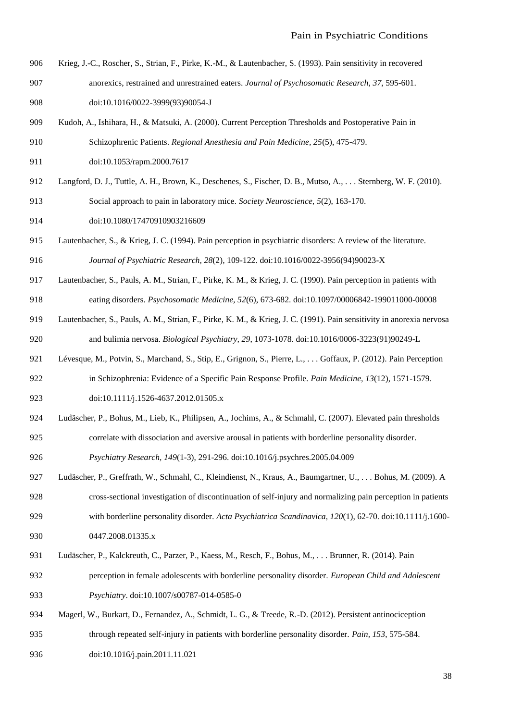- Krieg, J.-C., Roscher, S., Strian, F., Pirke, K.-M., & Lautenbacher, S. (1993). Pain sensitivity in recovered anorexics, restrained and unrestrained eaters. *Journal of Psychosomatic Research, 37*, 595-601. doi:10.1016/0022-3999(93)90054-J
- Kudoh, A., Ishihara, H., & Matsuki, A. (2000). Current Perception Thresholds and Postoperative Pain in Schizophrenic Patients. *Regional Anesthesia and Pain Medicine, 25*(5), 475-479.
- doi:10.1053/rapm.2000.7617
- Langford, D. J., Tuttle, A. H., Brown, K., Deschenes, S., Fischer, D. B., Mutso, A., . . . Sternberg, W. F. (2010). Social approach to pain in laboratory mice. *Society Neuroscience, 5*(2), 163-170.
- doi:10.1080/17470910903216609
- Lautenbacher, S., & Krieg, J. C. (1994). Pain perception in psychiatric disorders: A review of the literature. *Journal of Psychiatric Research, 28*(2), 109-122. doi:10.1016/0022-3956(94)90023-X
- Lautenbacher, S., Pauls, A. M., Strian, F., Pirke, K. M., & Krieg, J. C. (1990). Pain perception in patients with eating disorders. *Psychosomatic Medicine, 52*(6), 673-682. doi:10.1097/00006842-199011000-00008
- Lautenbacher, S., Pauls, A. M., Strian, F., Pirke, K. M., & Krieg, J. C. (1991). Pain sensitivity in anorexia nervosa and bulimia nervosa. *Biological Psychiatry, 29*, 1073-1078. doi:10.1016/0006-3223(91)90249-L
- Lévesque, M., Potvin, S., Marchand, S., Stip, E., Grignon, S., Pierre, L., . . . Goffaux, P. (2012). Pain Perception
- in Schizophrenia: Evidence of a Specific Pain Response Profile. *Pain Medicine, 13*(12), 1571-1579. 923 doi:10.1111/j.1526-4637.2012.01505.x
- Ludäscher, P., Bohus, M., Lieb, K., Philipsen, A., Jochims, A., & Schmahl, C. (2007). Elevated pain thresholds correlate with dissociation and aversive arousal in patients with borderline personality disorder. *Psychiatry Research, 149*(1-3), 291-296. doi:10.1016/j.psychres.2005.04.009
- Ludäscher, P., Greffrath, W., Schmahl, C., Kleindienst, N., Kraus, A., Baumgartner, U., . . . Bohus, M. (2009). A cross-sectional investigation of discontinuation of self-injury and normalizing pain perception in patients with borderline personality disorder. *Acta Psychiatrica Scandinavica, 120*(1), 62-70. doi:10.1111/j.1600-
- 0447.2008.01335.x
- Ludäscher, P., Kalckreuth, C., Parzer, P., Kaess, M., Resch, F., Bohus, M., . . . Brunner, R. (2014). Pain
- perception in female adolescents with borderline personality disorder. *European Child and Adolescent Psychiatry*. doi:10.1007/s00787-014-0585-0
- Magerl, W., Burkart, D., Fernandez, A., Schmidt, L. G., & Treede, R.-D. (2012). Persistent antinociception through repeated self-injury in patients with borderline personality disorder. *Pain, 153*, 575-584.
- doi:10.1016/j.pain.2011.11.021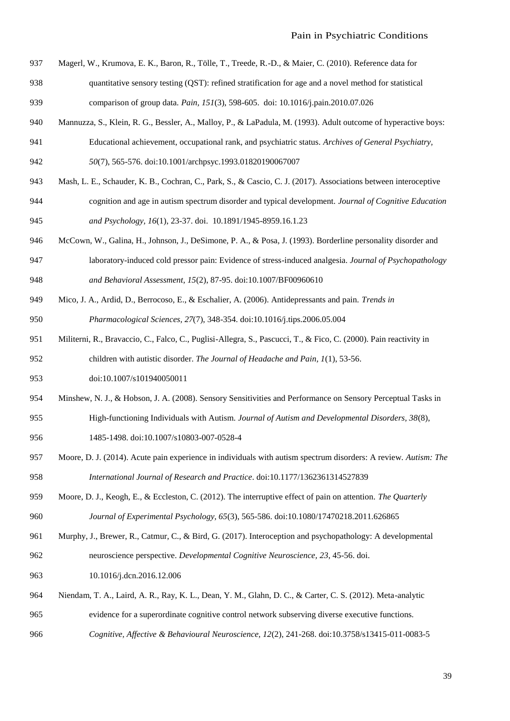- Magerl, W., Krumova, E. K., Baron, R., Tölle, T., Treede, R.-D., & Maier, C. (2010). Reference data for
- quantitative sensory testing (QST): refined stratification for age and a novel method for statistical comparison of group data. *Pain, 151*(3), 598-605. doi: 10.1016/j.pain.2010.07.026
- Mannuzza, S., Klein, R. G., Bessler, A., Malloy, P., & LaPadula, M. (1993). Adult outcome of hyperactive boys: Educational achievement, occupational rank, and psychiatric status. *Archives of General Psychiatry,*
- *50*(7), 565-576. doi:10.1001/archpsyc.1993.01820190067007
- Mash, L. E., Schauder, K. B., Cochran, C., Park, S., & Cascio, C. J. (2017). Associations between interoceptive cognition and age in autism spectrum disorder and typical development. *Journal of Cognitive Education and Psychology, 16*(1), 23-37. doi. 10.1891/1945-8959.16.1.23
- McCown, W., Galina, H., Johnson, J., DeSimone, P. A., & Posa, J. (1993). Borderline personality disorder and laboratory-induced cold pressor pain: Evidence of stress-induced analgesia. *Journal of Psychopathology and Behavioral Assessment, 15*(2), 87-95. doi:10.1007/BF00960610
- Mico, J. A., Ardid, D., Berrocoso, E., & Eschalier, A. (2006). Antidepressants and pain. *Trends in Pharmacological Sciences, 27*(7), 348-354. doi:10.1016/j.tips.2006.05.004
- Militerni, R., Bravaccio, C., Falco, C., Puglisi-Allegra, S., Pascucci, T., & Fico, C. (2000). Pain reactivity in children with autistic disorder. *The Journal of Headache and Pain, 1*(1), 53-56.
- doi:10.1007/s101940050011
- Minshew, N. J., & Hobson, J. A. (2008). Sensory Sensitivities and Performance on Sensory Perceptual Tasks in High-functioning Individuals with Autism. *Journal of Autism and Developmental Disorders, 38*(8),
- 1485-1498. doi:10.1007/s10803-007-0528-4
- Moore, D. J. (2014). Acute pain experience in individuals with autism spectrum disorders: A review. *Autism: The International Journal of Research and Practice*. doi:10.1177/1362361314527839
- Moore, D. J., Keogh, E., & Eccleston, C. (2012). The interruptive effect of pain on attention. *The Quarterly Journal of Experimental Psychology, 65*(3), 565-586. doi:10.1080/17470218.2011.626865
- Murphy, J., Brewer, R., Catmur, C., & Bird, G. (2017). Interoception and psychopathology: A developmental neuroscience perspective. *Developmental Cognitive Neuroscience, 23*, 45-56. doi.
- 10.1016/j.dcn.2016.12.006
- Niendam, T. A., Laird, A. R., Ray, K. L., Dean, Y. M., Glahn, D. C., & Carter, C. S. (2012). Meta-analytic evidence for a superordinate cognitive control network subserving diverse executive functions.
- *Cognitive, Affective & Behavioural Neuroscience, 12*(2), 241-268. doi:10.3758/s13415-011-0083-5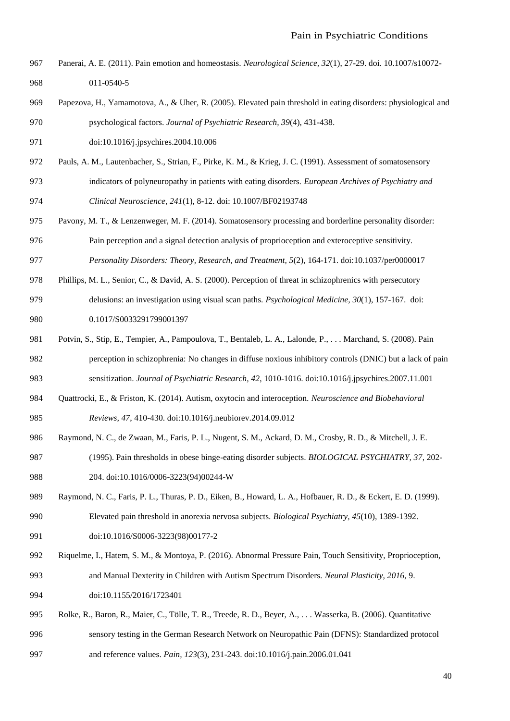- Panerai, A. E. (2011). Pain emotion and homeostasis. *Neurological Science, 32*(1), 27-29. doi. 10.1007/s10072- 011-0540-5
- Papezova, H., Yamamotova, A., & Uher, R. (2005). Elevated pain threshold in eating disorders: physiological and psychological factors. *Journal of Psychiatric Research, 39*(4), 431-438.
- doi:10.1016/j.jpsychires.2004.10.006
- Pauls, A. M., Lautenbacher, S., Strian, F., Pirke, K. M., & Krieg, J. C. (1991). Assessment of somatosensory indicators of polyneuropathy in patients with eating disorders. *European Archives of Psychiatry and Clinical Neuroscience, 241*(1), 8-12. doi: 10.1007/BF02193748
- Pavony, M. T., & Lenzenweger, M. F. (2014). Somatosensory processing and borderline personality disorder:
- Pain perception and a signal detection analysis of proprioception and exteroceptive sensitivity.
- *Personality Disorders: Theory, Research, and Treatment, 5*(2), 164-171. doi:10.1037/per0000017
- Phillips, M. L., Senior, C., & David, A. S. (2000). Perception of threat in schizophrenics with persecutory delusions: an investigation using visual scan paths. *Psychological Medicine, 30*(1), 157-167. doi:
- 980 0.1017/S0033291799001397
- Potvin, S., Stip, E., Tempier, A., Pampoulova, T., Bentaleb, L. A., Lalonde, P., . . . Marchand, S. (2008). Pain perception in schizophrenia: No changes in diffuse noxious inhibitory controls (DNIC) but a lack of pain
- sensitization. *Journal of Psychiatric Research, 42*, 1010-1016. doi:10.1016/j.jpsychires.2007.11.001
- Quattrocki, E., & Friston, K. (2014). Autism, oxytocin and interoception. *Neuroscience and Biobehavioral Reviews, 47*, 410-430. doi:10.1016/j.neubiorev.2014.09.012
- Raymond, N. C., de Zwaan, M., Faris, P. L., Nugent, S. M., Ackard, D. M., Crosby, R. D., & Mitchell, J. E.
- (1995). Pain thresholds in obese binge-eating disorder subjects. *BIOLOGICAL PSYCHIATRY, 37*, 202- 204. doi:10.1016/0006-3223(94)00244-W
- 989 Raymond, N. C., Faris, P. L., Thuras, P. D., Eiken, B., Howard, L. A., Hofbauer, R. D., & Eckert, E. D. (1999). Elevated pain threshold in anorexia nervosa subjects. *Biological Psychiatry, 45*(10), 1389-1392. doi:10.1016/S0006-3223(98)00177-2
- Riquelme, I., Hatem, S. M., & Montoya, P. (2016). Abnormal Pressure Pain, Touch Sensitivity, Proprioception, and Manual Dexterity in Children with Autism Spectrum Disorders. *Neural Plasticity, 2016*, 9. doi:10.1155/2016/1723401
- Rolke, R., Baron, R., Maier, C., Tölle, T. R., Treede, R. D., Beyer, A., . . . Wasserka, B. (2006). Quantitative sensory testing in the German Research Network on Neuropathic Pain (DFNS): Standardized protocol and reference values. *Pain, 123*(3), 231-243. doi:10.1016/j.pain.2006.01.041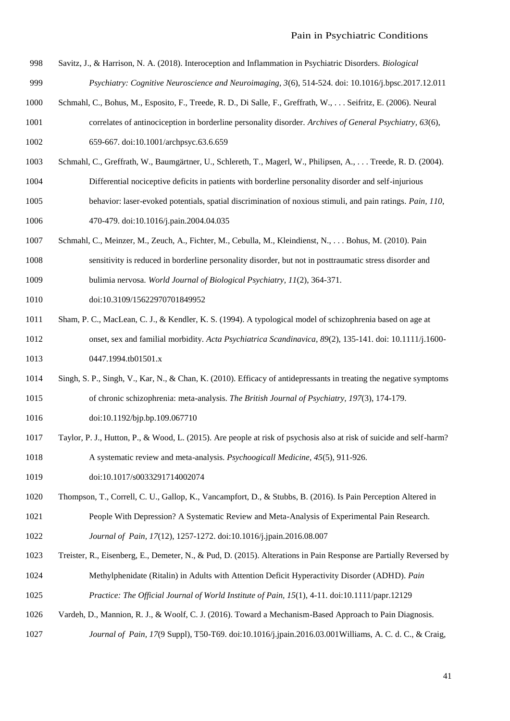- Savitz, J., & Harrison, N. A. (2018). Interoception and Inflammation in Psychiatric Disorders. *Biological Psychiatry: Cognitive Neuroscience and Neuroimaging, 3*(6), 514-524. doi: 10.1016/j.bpsc.2017.12.011
- Schmahl, C., Bohus, M., Esposito, F., Treede, R. D., Di Salle, F., Greffrath, W., . . . Seifritz, E. (2006). Neural
- correlates of antinociception in borderline personality disorder. *Archives of General Psychiatry, 63*(6), 659-667. doi:10.1001/archpsyc.63.6.659
- Schmahl, C., Greffrath, W., Baumgärtner, U., Schlereth, T., Magerl, W., Philipsen, A., . . . Treede, R. D. (2004).
- Differential nociceptive deficits in patients with borderline personality disorder and self-injurious
- behavior: laser-evoked potentials, spatial discrimination of noxious stimuli, and pain ratings. *Pain, 110*, 470-479. doi:10.1016/j.pain.2004.04.035
- Schmahl, C., Meinzer, M., Zeuch, A., Fichter, M., Cebulla, M., Kleindienst, N., . . . Bohus, M. (2010). Pain
- sensitivity is reduced in borderline personality disorder, but not in posttraumatic stress disorder and bulimia nervosa. *World Journal of Biological Psychiatry, 11*(2), 364-371.
- doi:10.3109/15622970701849952
- Sham, P. C., MacLean, C. J., & Kendler, K. S. (1994). A typological model of schizophrenia based on age at onset, sex and familial morbidity. *Acta Psychiatrica Scandinavica, 89*(2), 135-141. doi: 10.1111/j.1600- 1013 0447.1994.tb01501.x
- Singh, S. P., Singh, V., Kar, N., & Chan, K. (2010). Efficacy of antidepressants in treating the negative symptoms of chronic schizophrenia: meta-analysis. *The British Journal of Psychiatry, 197*(3), 174-179.
- doi:10.1192/bjp.bp.109.067710
- Taylor, P. J., Hutton, P., & Wood, L. (2015). Are people at risk of psychosis also at risk of suicide and self-harm? A systematic review and meta-analysis. *Psychoogicall Medicine, 45*(5), 911-926.
- doi:10.1017/s0033291714002074
- Thompson, T., Correll, C. U., Gallop, K., Vancampfort, D., & Stubbs, B. (2016). Is Pain Perception Altered in People With Depression? A Systematic Review and Meta-Analysis of Experimental Pain Research.
- *Journal of Pain, 17*(12), 1257-1272. doi:10.1016/j.jpain.2016.08.007
- Treister, R., Eisenberg, E., Demeter, N., & Pud, D. (2015). Alterations in Pain Response are Partially Reversed by Methylphenidate (Ritalin) in Adults with Attention Deficit Hyperactivity Disorder (ADHD). *Pain Practice: The Official Journal of World Institute of Pain, 15*(1), 4-11. doi:10.1111/papr.12129
- 
- Vardeh, D., Mannion, R. J., & Woolf, C. J. (2016). Toward a Mechanism-Based Approach to Pain Diagnosis.
- *Journal of Pain, 17*(9 Suppl), T50-T69. doi:10.1016/j.jpain.2016.03.001Williams, A. C. d. C., & Craig,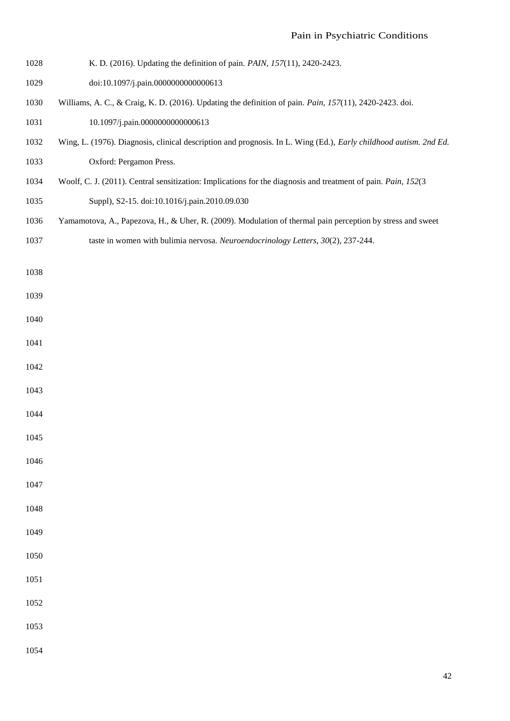- K. D. (2016). Updating the definition of pain. *PAIN, 157*(11), 2420-2423.
- doi:10.1097/j.pain.0000000000000613
- Williams, A. C., & Craig, K. D. (2016). Updating the definition of pain. *Pain, 157*(11), 2420-2423. doi.
- 1031 10.1097/j.pain.00000000000000613
- Wing, L. (1976). Diagnosis, clinical description and prognosis. In L. Wing (Ed.), *Early childhood autism. 2nd Ed.* Oxford: Pergamon Press.
- Woolf, C. J. (2011). Central sensitization: Implications for the diagnosis and treatment of pain. *Pain, 152*(3
- Suppl), S2-15. doi:10.1016/j.pain.2010.09.030
- Yamamotova, A., Papezova, H., & Uher, R. (2009). Modulation of thermal pain perception by stress and sweet
- taste in women with bulimia nervosa. *Neuroendocrinology Letters, 30*(2), 237-244.
- 

- 
- 
- 
- 
- 
- 
- 

- 
- 
- 
- 
- 
- 
- 
- 
-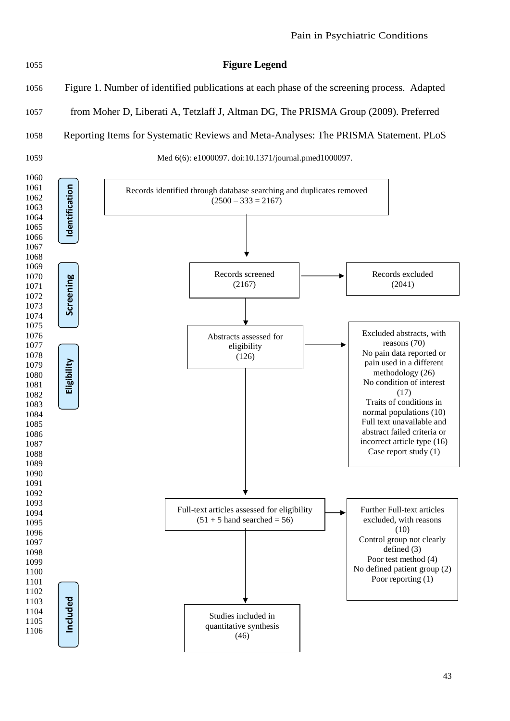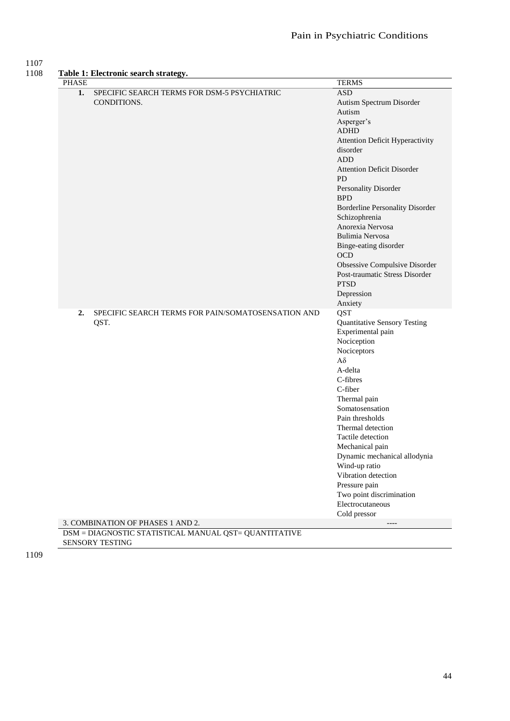### 1107

| 1108 | Table 1: Electronic search strategy. |
|------|--------------------------------------|

| <b>PHASE</b>                                                           | <b>TERMS</b>                           |
|------------------------------------------------------------------------|----------------------------------------|
| 1.<br>SPECIFIC SEARCH TERMS FOR DSM-5 PSYCHIATRIC                      | <b>ASD</b>                             |
| CONDITIONS.                                                            | Autism Spectrum Disorder               |
|                                                                        | Autism                                 |
|                                                                        | Asperger's                             |
|                                                                        | <b>ADHD</b>                            |
|                                                                        | Attention Deficit Hyperactivity        |
|                                                                        | disorder                               |
|                                                                        | <b>ADD</b>                             |
|                                                                        | <b>Attention Deficit Disorder</b>      |
|                                                                        | <b>PD</b>                              |
|                                                                        | Personality Disorder                   |
|                                                                        | <b>BPD</b>                             |
|                                                                        | <b>Borderline Personality Disorder</b> |
|                                                                        | Schizophrenia                          |
|                                                                        | Anorexia Nervosa                       |
|                                                                        | Bulimia Nervosa                        |
|                                                                        | Binge-eating disorder                  |
|                                                                        | <b>OCD</b>                             |
|                                                                        | Obsessive Compulsive Disorder          |
|                                                                        | Post-traumatic Stress Disorder         |
|                                                                        | <b>PTSD</b>                            |
|                                                                        | Depression                             |
|                                                                        | Anxiety                                |
| SPECIFIC SEARCH TERMS FOR PAIN/SOMATOSENSATION AND<br>$\overline{2}$ . | <b>QST</b>                             |
| QST.                                                                   | <b>Quantitative Sensory Testing</b>    |
|                                                                        | Experimental pain                      |
|                                                                        | Nociception                            |
|                                                                        | Nociceptors                            |
|                                                                        | $A\delta$                              |
|                                                                        | A-delta                                |
|                                                                        | C-fibres                               |
|                                                                        | C-fiber                                |
|                                                                        | Thermal pain                           |
|                                                                        | Somatosensation                        |
|                                                                        | Pain thresholds                        |
|                                                                        | Thermal detection                      |
|                                                                        | Tactile detection                      |
|                                                                        | Mechanical pain                        |
|                                                                        | Dynamic mechanical allodynia           |
|                                                                        | Wind-up ratio                          |
|                                                                        | Vibration detection                    |
|                                                                        | Pressure pain                          |
|                                                                        | Two point discrimination               |
|                                                                        | Electrocutaneous                       |
|                                                                        | Cold pressor                           |
| 3. COMBINATION OF PHASES 1 AND 2.                                      | $---$                                  |
| DSM = DIAGNOSTIC STATISTICAL MANUAL QST= QUANTITATIVE                  |                                        |

SENSORY TESTING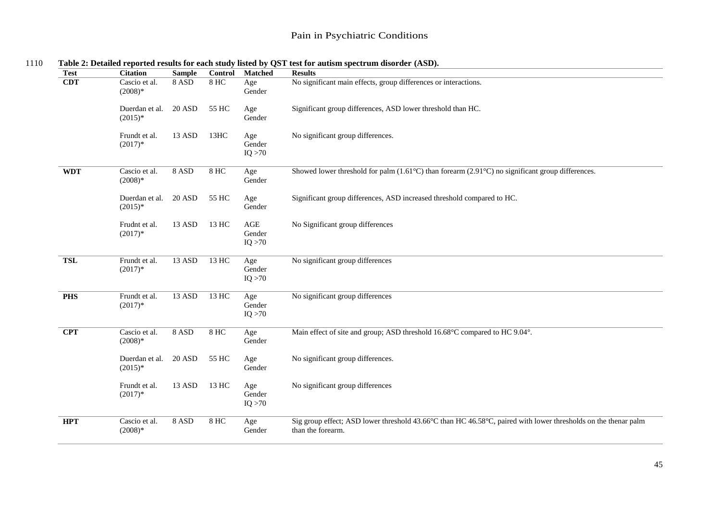| <b>Test</b> | <b>Citation</b>             | <b>Sample</b> | <b>Control</b>    | <b>Matched</b>           | <b>Results</b>                                                                                                                      |
|-------------|-----------------------------|---------------|-------------------|--------------------------|-------------------------------------------------------------------------------------------------------------------------------------|
| <b>CDT</b>  | Cascio et al.<br>$(2008)*$  | 8 ASD         | <b>8 HC</b>       | Age<br>Gender            | No significant main effects, group differences or interactions.                                                                     |
|             | Duerdan et al.<br>$(2015)*$ | <b>20 ASD</b> | 55 HC             | Age<br>Gender            | Significant group differences, ASD lower threshold than HC.                                                                         |
|             | Frundt et al.<br>$(2017)*$  | 13 ASD        | 13HC              | Age<br>Gender<br>IQ > 70 | No significant group differences.                                                                                                   |
| <b>WDT</b>  | Cascio et al.<br>$(2008)*$  | 8 ASD         | <b>8 HC</b>       | Age<br>Gender            | Showed lower threshold for palm $(1.61^{\circ}C)$ than forearm $(2.91^{\circ}C)$ no significant group differences.                  |
|             | Duerdan et al.<br>$(2015)*$ | <b>20 ASD</b> | 55 HC             | Age<br>Gender            | Significant group differences, ASD increased threshold compared to HC.                                                              |
|             | Frudnt et al.<br>$(2017)*$  | 13 ASD        | 13 HC             | AGE<br>Gender<br>IQ > 70 | No Significant group differences                                                                                                    |
| <b>TSL</b>  | Frundt et al.<br>$(2017)*$  | $13$ ASD      | 13 HC             | Age<br>Gender<br>IQ > 70 | No significant group differences                                                                                                    |
| <b>PHS</b>  | Frundt et al.<br>$(2017)*$  | $13$ ASD      | 13 H <sub>C</sub> | Age<br>Gender<br>IQ > 70 | No significant group differences                                                                                                    |
| <b>CPT</b>  | Cascio et al.<br>$(2008)*$  | 8 ASD         | <b>8 HC</b>       | Age<br>Gender            | Main effect of site and group; ASD threshold 16.68°C compared to HC 9.04°.                                                          |
|             | Duerdan et al.<br>$(2015)*$ | <b>20 ASD</b> | 55 HC             | Age<br>Gender            | No significant group differences.                                                                                                   |
|             | Frundt et al.<br>$(2017)*$  | 13 ASD        | 13 HC             | Age<br>Gender<br>IQ > 70 | No significant group differences                                                                                                    |
| <b>HPT</b>  | Cascio et al.<br>$(2008)*$  | 8 ASD         | $8$ HC            | Age<br>Gender            | Sig group effect; ASD lower threshold 43.66°C than HC 46.58°C, paired with lower thresholds on the thenar palm<br>than the forearm. |
|             |                             |               |                   |                          |                                                                                                                                     |

#### 1110 **Table 2: Detailed reported results for each study listed by QST test for autism spectrum disorder (ASD).**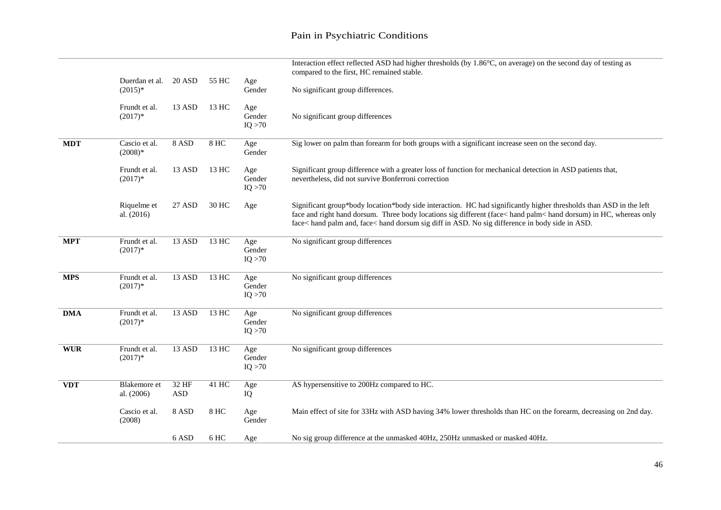|            |                             |                     |       |                          | Interaction effect reflected ASD had higher thresholds (by 1.86°C, on average) on the second day of testing as<br>compared to the first, HC remained stable.                                                                                                                                                                              |
|------------|-----------------------------|---------------------|-------|--------------------------|-------------------------------------------------------------------------------------------------------------------------------------------------------------------------------------------------------------------------------------------------------------------------------------------------------------------------------------------|
|            | Duerdan et al.<br>$(2015)*$ | 20 ASD              | 55 HC | Age<br>Gender            | No significant group differences.                                                                                                                                                                                                                                                                                                         |
|            | Frundt et al.<br>$(2017)*$  | 13 ASD              | 13 HC | Age<br>Gender<br>IQ > 70 | No significant group differences                                                                                                                                                                                                                                                                                                          |
| <b>MDT</b> | Cascio et al.<br>$(2008)*$  | 8 ASD               | 8 HC  | Age<br>Gender            | Sig lower on palm than forearm for both groups with a significant increase seen on the second day.                                                                                                                                                                                                                                        |
|            | Frundt et al.<br>$(2017)*$  | 13 ASD              | 13 HC | Age<br>Gender<br>IQ > 70 | Significant group difference with a greater loss of function for mechanical detection in ASD patients that,<br>nevertheless, did not survive Bonferroni correction                                                                                                                                                                        |
|            | Riquelme et<br>al. $(2016)$ | 27 ASD              | 30 HC | Age                      | Significant group*body location*body side interaction. HC had significantly higher thresholds than ASD in the left<br>face and right hand dorsum. Three body locations sig different (face< hand palm< hand dorsum) in HC, whereas only<br>face< hand palm and, face< hand dorsum sig diff in ASD. No sig difference in body side in ASD. |
| <b>MPT</b> | Frundt et al.<br>$(2017)*$  | 13 ASD              | 13 HC | Age<br>Gender<br>IQ > 70 | No significant group differences                                                                                                                                                                                                                                                                                                          |
| <b>MPS</b> | Frundt et al.<br>$(2017)*$  | $13$ ASD            | 13 HC | Age<br>Gender<br>IQ > 70 | No significant group differences                                                                                                                                                                                                                                                                                                          |
| <b>DMA</b> | Frundt et al.<br>$(2017)*$  | $13$ ASD            | 13 HC | Age<br>Gender<br>IQ > 70 | No significant group differences                                                                                                                                                                                                                                                                                                          |
| <b>WUR</b> | Frundt et al.<br>$(2017)*$  | $13$ ASD            | 13 HC | Age<br>Gender<br>IQ > 70 | No significant group differences                                                                                                                                                                                                                                                                                                          |
| <b>VDT</b> | Blakemore et<br>al. (2006)  | 32 HF<br><b>ASD</b> | 41 HC | Age<br>IQ                | AS hypersensitive to 200Hz compared to HC.                                                                                                                                                                                                                                                                                                |
|            | Cascio et al.<br>(2008)     | 8 ASD               | 8 HC  | Age<br>Gender            | Main effect of site for 33Hz with ASD having 34% lower thresholds than HC on the forearm, decreasing on 2nd day.                                                                                                                                                                                                                          |
|            |                             | 6 ASD               | 6 HC  | Age                      | No sig group difference at the unmasked 40Hz, 250Hz unmasked or masked 40Hz.                                                                                                                                                                                                                                                              |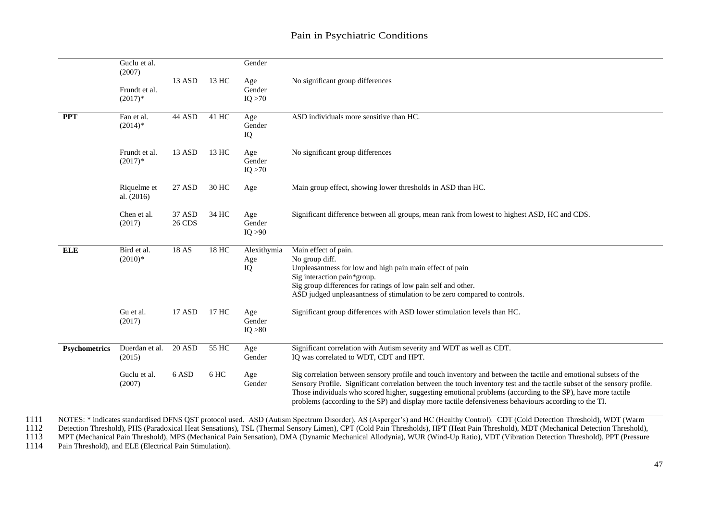|                      | Guclu et al.<br>(2007)      |                  |                    | Gender                   |                                                                                                                                                                                                                                                                                                                                                                                                                                                                      |
|----------------------|-----------------------------|------------------|--------------------|--------------------------|----------------------------------------------------------------------------------------------------------------------------------------------------------------------------------------------------------------------------------------------------------------------------------------------------------------------------------------------------------------------------------------------------------------------------------------------------------------------|
|                      | Frundt et al.<br>$(2017)*$  | 13 ASD           | 13 HC              | Age<br>Gender<br>IQ > 70 | No significant group differences                                                                                                                                                                                                                                                                                                                                                                                                                                     |
| <b>PPT</b>           | Fan et al.<br>$(2014)*$     | 44 ASD           | 41 HC              | Age<br>Gender<br>IQ      | ASD individuals more sensitive than HC.                                                                                                                                                                                                                                                                                                                                                                                                                              |
|                      | Frundt et al.<br>$(2017)*$  | 13 ASD           | 13 HC              | Age<br>Gender<br>IQ > 70 | No significant group differences                                                                                                                                                                                                                                                                                                                                                                                                                                     |
|                      | Riquelme et<br>al. $(2016)$ | 27 ASD           | 30 HC              | Age                      | Main group effect, showing lower thresholds in ASD than HC.                                                                                                                                                                                                                                                                                                                                                                                                          |
|                      | Chen et al.<br>(2017)       | 37 ASD<br>26 CDS | 34 HC              | Age<br>Gender<br>IQ > 90 | Significant difference between all groups, mean rank from lowest to highest ASD, HC and CDS.                                                                                                                                                                                                                                                                                                                                                                         |
| <b>ELE</b>           | Bird et al.<br>$(2010)*$    | 18 AS            | 18 HC              | Alexithymia<br>Age<br>IQ | Main effect of pain.<br>No group diff.<br>Unpleasantness for low and high pain main effect of pain<br>Sig interaction pain*group.<br>Sig group differences for ratings of low pain self and other.<br>ASD judged unpleasantness of stimulation to be zero compared to controls.                                                                                                                                                                                      |
|                      | Gu et al.<br>(2017)         | 17 ASD           | 17 HC              | Age<br>Gender<br>IQ > 80 | Significant group differences with ASD lower stimulation levels than HC.                                                                                                                                                                                                                                                                                                                                                                                             |
| <b>Psychometrics</b> | Duerdan et al.<br>(2015)    | <b>20 ASD</b>    | $\overline{55}$ HC | Age<br>Gender            | Significant correlation with Autism severity and WDT as well as CDT.<br>IQ was correlated to WDT, CDT and HPT.                                                                                                                                                                                                                                                                                                                                                       |
|                      | Guclu et al.<br>(2007)      | 6 ASD            | 6 HC               | Age<br>Gender            | Sig correlation between sensory profile and touch inventory and between the tactile and emotional subsets of the<br>Sensory Profile. Significant correlation between the touch inventory test and the tactile subset of the sensory profile.<br>Those individuals who scored higher, suggesting emotional problems (according to the SP), have more tactile<br>problems (according to the SP) and display more tactile defensiveness behaviours according to the TI. |

1111 NOTES: \* indicates standardised DFNS QST protocol used. ASD (Autism Spectrum Disorder), AS (Asperger's) and HC (Healthy Control). CDT (Cold Detection Threshold), WDT (Warm<br>1112 Detection Threshold), PHS (Paradoxical H

1112 Detection Threshold), PHS (Paradoxical Heat Sensations), TSL (Thermal Sensory Limen), CPT (Cold Pain Thresholds), HPT (Heat Pain Threshold), MDT (Mechanical Detection Threshold), MDT (Mechanical Detection Threshold),

1113 MPT (Mechanical Pain Threshold), MPS (Mechanical Pain Sensation), DMA (Dynamic Mechanical Allodynia), WUR (Wind-Up Ratio), VDT (Vibration Detection Threshold), PPT (Pressure 1114 Pain Threshold), and ELE (Electrical P

Pain Threshold), and ELE (Electrical Pain Stimulation).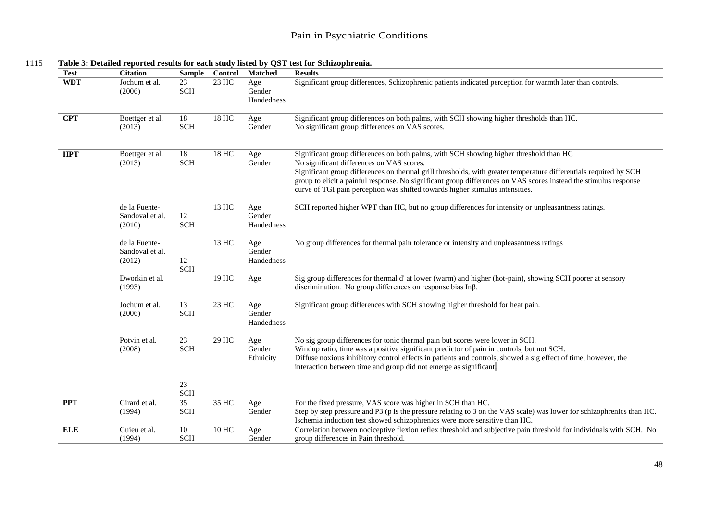| <b>Test</b> | <b>Citation</b>                            | <b>Sample</b>                 | Control | <b>Matched</b>              | <b>Results</b>                                                                                                                                                                                                                                                                                                                                                                                                                                                |
|-------------|--------------------------------------------|-------------------------------|---------|-----------------------------|---------------------------------------------------------------------------------------------------------------------------------------------------------------------------------------------------------------------------------------------------------------------------------------------------------------------------------------------------------------------------------------------------------------------------------------------------------------|
| <b>WDT</b>  | Jochum et al.<br>(2006)                    | 23<br><b>SCH</b>              | 23 HC   | Age<br>Gender<br>Handedness | Significant group differences, Schizophrenic patients indicated perception for warmth later than controls.                                                                                                                                                                                                                                                                                                                                                    |
| <b>CPT</b>  | Boettger et al.<br>(2013)                  | 18<br><b>SCH</b>              | 18 HC   | Age<br>Gender               | Significant group differences on both palms, with SCH showing higher thresholds than HC.<br>No significant group differences on VAS scores.                                                                                                                                                                                                                                                                                                                   |
| <b>HPT</b>  | Boettger et al.<br>(2013)                  | 18<br><b>SCH</b>              | 18 HC   | Age<br>Gender               | Significant group differences on both palms, with SCH showing higher threshold than HC<br>No significant differences on VAS scores.<br>Significant group differences on thermal grill thresholds, with greater temperature differentials required by SCH<br>group to elicit a painful response. No significant group differences on VAS scores instead the stimulus response<br>curve of TGI pain perception was shifted towards higher stimulus intensities. |
|             | de la Fuente-<br>Sandoval et al.<br>(2010) | 12<br><b>SCH</b>              | 13 HC   | Age<br>Gender<br>Handedness | SCH reported higher WPT than HC, but no group differences for intensity or unpleasantness ratings.                                                                                                                                                                                                                                                                                                                                                            |
|             | de la Fuente-<br>Sandoval et al.<br>(2012) | 12<br><b>SCH</b>              | 13 HC   | Age<br>Gender<br>Handedness | No group differences for thermal pain tolerance or intensity and unpleasantness ratings                                                                                                                                                                                                                                                                                                                                                                       |
|             | Dworkin et al.<br>(1993)                   |                               | 19 HC   | Age                         | Sig group differences for thermal d' at lower (warm) and higher (hot-pain), showing SCH poorer at sensory<br>discrimination. No group differences on response bias $In\beta.$                                                                                                                                                                                                                                                                                 |
|             | Jochum et al.<br>(2006)                    | 13<br><b>SCH</b>              | 23 HC   | Age<br>Gender<br>Handedness | Significant group differences with SCH showing higher threshold for heat pain.                                                                                                                                                                                                                                                                                                                                                                                |
|             | Potvin et al.<br>(2008)                    | 23<br>$\operatorname{SCH}$    | 29 HC   | Age<br>Gender<br>Ethnicity  | No sig group differences for tonic thermal pain but scores were lower in SCH.<br>Windup ratio, time was a positive significant predictor of pain in controls, but not SCH.<br>Diffuse noxious inhibitory control effects in patients and controls, showed a sig effect of time, however, the<br>interaction between time and group did not emerge as significant.                                                                                             |
|             |                                            | 23<br>SCH                     |         |                             |                                                                                                                                                                                                                                                                                                                                                                                                                                                               |
| <b>PPT</b>  | Girard et al.<br>(1994)                    | $\overline{35}$<br><b>SCH</b> | 35 HC   | Age<br>Gender               | For the fixed pressure, VAS score was higher in SCH than HC.<br>Step by step pressure and P3 (p is the pressure relating to 3 on the VAS scale) was lower for schizophrenics than HC.<br>Ischemia induction test showed schizophrenics were more sensitive than HC.                                                                                                                                                                                           |
| <b>ELE</b>  | Guieu et al.<br>(1994)                     | 10<br>$\operatorname{SCH}$    | 10 HC   | Age<br>Gender               | Correlation between nociceptive flexion reflex threshold and subjective pain threshold for individuals with SCH. No<br>group differences in Pain threshold.                                                                                                                                                                                                                                                                                                   |

1115 **Table 3: Detailed reported results for each study listed by QST test for Schizophrenia.**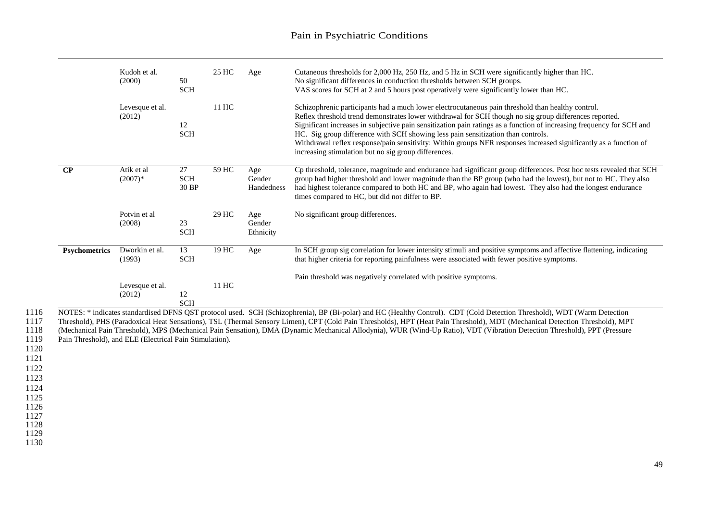|                      | Kudoh et al.<br>(2000)                                  | 50<br>$\operatorname{SCH}$ | 25 HC | Age                         | Cutaneous thresholds for 2,000 Hz, 250 Hz, and 5 Hz in SCH were significantly higher than HC.<br>No significant differences in conduction thresholds between SCH groups.<br>VAS scores for SCH at 2 and 5 hours post operatively were significantly lower than HC.                                                                                                                                                                                                                                                                                                                                    |
|----------------------|---------------------------------------------------------|----------------------------|-------|-----------------------------|-------------------------------------------------------------------------------------------------------------------------------------------------------------------------------------------------------------------------------------------------------------------------------------------------------------------------------------------------------------------------------------------------------------------------------------------------------------------------------------------------------------------------------------------------------------------------------------------------------|
|                      | Levesque et al.<br>(2012)                               | 12<br><b>SCH</b>           | 11 HC |                             | Schizophrenic participants had a much lower electrocutaneous pain threshold than healthy control.<br>Reflex threshold trend demonstrates lower withdrawal for SCH though no sig group differences reported.<br>Significant increases in subjective pain sensitization pain ratings as a function of increasing frequency for SCH and<br>HC. Sig group difference with SCH showing less pain sensitization than controls.<br>Withdrawal reflex response/pain sensitivity: Within groups NFR responses increased significantly as a function of<br>increasing stimulation but no sig group differences. |
| $\bf CP$             | Atik et al<br>$(2007)*$                                 | 27<br><b>SCH</b><br>30 BP  | 59 HC | Age<br>Gender<br>Handedness | Cp threshold, tolerance, magnitude and endurance had significant group differences. Post hoc tests revealed that SCH<br>group had higher threshold and lower magnitude than the BP group (who had the lowest), but not to HC. They also<br>had highest tolerance compared to both HC and BP, who again had lowest. They also had the longest endurance<br>times compared to HC, but did not differ to BP.                                                                                                                                                                                             |
|                      | Potvin et al<br>(2008)                                  | 23<br><b>SCH</b>           | 29 HC | Age<br>Gender<br>Ethnicity  | No significant group differences.                                                                                                                                                                                                                                                                                                                                                                                                                                                                                                                                                                     |
| <b>Psychometrics</b> | Dworkin et al.<br>(1993)                                | 13<br><b>SCH</b>           | 19 HC | Age                         | In SCH group sig correlation for lower intensity stimuli and positive symptoms and affective flattening, indicating<br>that higher criteria for reporting painfulness were associated with fewer positive symptoms.                                                                                                                                                                                                                                                                                                                                                                                   |
|                      | Levesque et al.<br>(2012)                               | 12<br><b>SCH</b>           | 11 HC |                             | Pain threshold was negatively correlated with positive symptoms.                                                                                                                                                                                                                                                                                                                                                                                                                                                                                                                                      |
|                      | Pain Threshold), and ELE (Electrical Pain Stimulation). |                            |       |                             | NOTES: * indicates standardised DFNS QST protocol used. SCH (Schizophrenia), BP (Bi-polar) and HC (Healthy Control). CDT (Cold Detection Threshold), WDT (Warm Detection<br>Threshold), PHS (Paradoxical Heat Sensations), TSL (Thermal Sensory Limen), CPT (Cold Pain Thresholds), HPT (Heat Pain Threshold), MDT (Mechanical Detection Threshold), MPT<br>(Mechanical Pain Threshold), MPS (Mechanical Pain Sensation), DMA (Dynamic Mechanical Allodynia), WUR (Wind-Up Ratio), VDT (Vibration Detection Threshold), PPT (Pressure                                                                 |

1121 1122

1123

1124

1125 1126

1127

1128

1129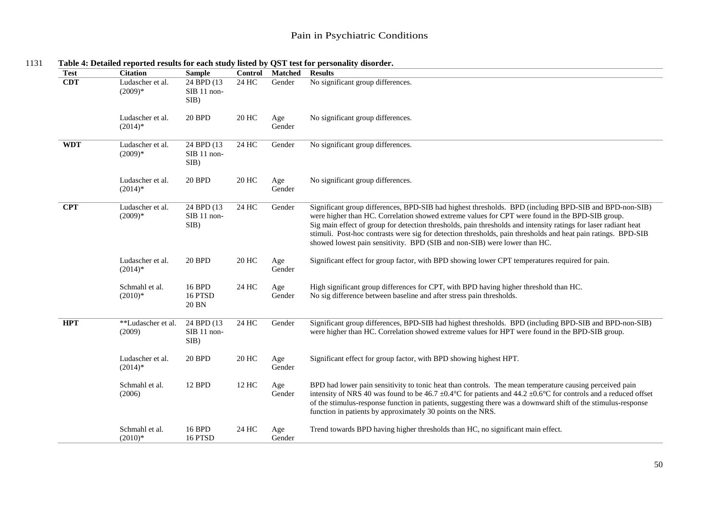| <b>Test</b> | <b>Citation</b>               | <b>Sample</b>                      | Control | <b>Matched</b> | <b>Results</b>                                                                                                                                                                                                                                                                                                                                                                                                                                                                                                             |
|-------------|-------------------------------|------------------------------------|---------|----------------|----------------------------------------------------------------------------------------------------------------------------------------------------------------------------------------------------------------------------------------------------------------------------------------------------------------------------------------------------------------------------------------------------------------------------------------------------------------------------------------------------------------------------|
| <b>CDT</b>  | Ludascher et al.<br>$(2009)*$ | 24 BPD (13)<br>SIB 11 non-<br>SIB) | 24 HC   | Gender         | No significant group differences.                                                                                                                                                                                                                                                                                                                                                                                                                                                                                          |
|             | Ludascher et al.<br>$(2014)*$ | <b>20 BPD</b>                      | 20 HC   | Age<br>Gender  | No significant group differences.                                                                                                                                                                                                                                                                                                                                                                                                                                                                                          |
| <b>WDT</b>  | Ludascher et al.<br>$(2009)*$ | 24 BPD (13)<br>SIB 11 non-<br>SIB) | 24 HC   | Gender         | No significant group differences.                                                                                                                                                                                                                                                                                                                                                                                                                                                                                          |
|             | Ludascher et al.<br>$(2014)*$ | <b>20 BPD</b>                      | 20 HC   | Age<br>Gender  | No significant group differences.                                                                                                                                                                                                                                                                                                                                                                                                                                                                                          |
| CPT         | Ludascher et al.<br>$(2009)*$ | 24 BPD(13)<br>SIB 11 non-<br>SIB)  | 24 HC   | Gender         | Significant group differences, BPD-SIB had highest thresholds. BPD (including BPD-SIB and BPD-non-SIB)<br>were higher than HC. Correlation showed extreme values for CPT were found in the BPD-SIB group.<br>Sig main effect of group for detection thresholds, pain thresholds and intensity ratings for laser radiant heat<br>stimuli. Post-hoc contrasts were sig for detection thresholds, pain thresholds and heat pain ratings. BPD-SIB<br>showed lowest pain sensitivity. BPD (SIB and non-SIB) were lower than HC. |
|             | Ludascher et al.<br>$(2014)*$ | 20 BPD                             | 20 HC   | Age<br>Gender  | Significant effect for group factor, with BPD showing lower CPT temperatures required for pain.                                                                                                                                                                                                                                                                                                                                                                                                                            |
|             | Schmahl et al.<br>$(2010)*$   | 16 BPD<br>16 PTSD<br>20 BN         | 24 HC   | Age<br>Gender  | High significant group differences for CPT, with BPD having higher threshold than HC.<br>No sig difference between baseline and after stress pain thresholds.                                                                                                                                                                                                                                                                                                                                                              |
| <b>HPT</b>  | **Ludascher et al.<br>(2009)  | 24 BPD (13)<br>SIB 11 non-<br>SIB) | 24 HC   | Gender         | Significant group differences, BPD-SIB had highest thresholds. BPD (including BPD-SIB and BPD-non-SIB)<br>were higher than HC. Correlation showed extreme values for HPT were found in the BPD-SIB group.                                                                                                                                                                                                                                                                                                                  |
|             | Ludascher et al.<br>$(2014)*$ | <b>20 BPD</b>                      | 20 HC   | Age<br>Gender  | Significant effect for group factor, with BPD showing highest HPT.                                                                                                                                                                                                                                                                                                                                                                                                                                                         |
|             | Schmahl et al.<br>(2006)      | 12 BPD                             | 12 HC   | Age<br>Gender  | BPD had lower pain sensitivity to tonic heat than controls. The mean temperature causing perceived pain<br>intensity of NRS 40 was found to be 46.7 ±0.4°C for patients and 44.2 ±0.6°C for controls and a reduced offset<br>of the stimulus-response function in patients, suggesting there was a downward shift of the stimulus-response<br>function in patients by approximately 30 points on the NRS.                                                                                                                  |
|             | Schmahl et al.<br>$(2010)*$   | 16 BPD<br>16 PTSD                  | 24 HC   | Age<br>Gender  | Trend towards BPD having higher thresholds than HC, no significant main effect.                                                                                                                                                                                                                                                                                                                                                                                                                                            |

<sup>1131</sup> **Table 4: Detailed reported results for each study listed by QST test for personality disorder.**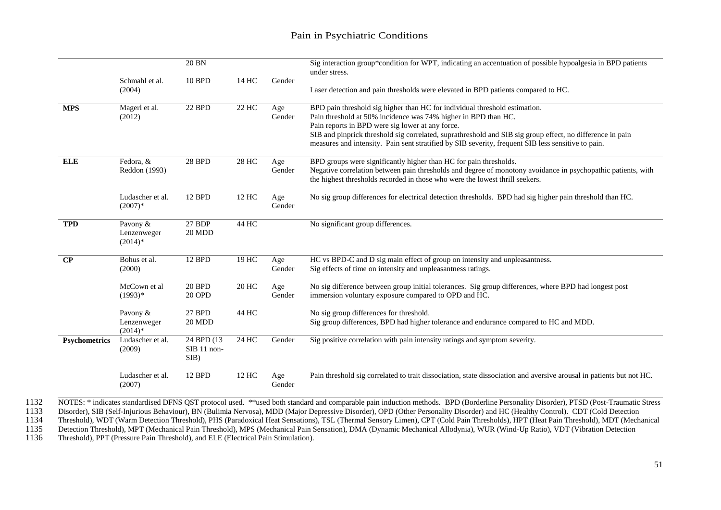|               |                                      | 20 BN                                |       |               | Sig interaction group*condition for WPT, indicating an accentuation of possible hypoalgesia in BPD patients<br>under stress.                                                                                                                                                                                                                                                                                        |
|---------------|--------------------------------------|--------------------------------------|-------|---------------|---------------------------------------------------------------------------------------------------------------------------------------------------------------------------------------------------------------------------------------------------------------------------------------------------------------------------------------------------------------------------------------------------------------------|
|               | Schmahl et al.<br>(2004)             | 10 BPD                               | 14 HC | Gender        | Laser detection and pain thresholds were elevated in BPD patients compared to HC.                                                                                                                                                                                                                                                                                                                                   |
| <b>MPS</b>    | Magerl et al.<br>(2012)              | 22 BPD                               | 22 HC | Age<br>Gender | BPD pain threshold sig higher than HC for individual threshold estimation.<br>Pain threshold at 50% incidence was 74% higher in BPD than HC.<br>Pain reports in BPD were sig lower at any force.<br>SIB and pinprick threshold sig correlated, suprathreshold and SIB sig group effect, no difference in pain<br>measures and intensity. Pain sent stratified by SIB severity, frequent SIB less sensitive to pain. |
| <b>ELE</b>    | Fedora, &<br>Reddon (1993)           | <b>28 BPD</b>                        | 28 HC | Age<br>Gender | BPD groups were significantly higher than HC for pain thresholds.<br>Negative correlation between pain thresholds and degree of monotony avoidance in psychopathic patients, with<br>the highest thresholds recorded in those who were the lowest thrill seekers.                                                                                                                                                   |
|               | Ludascher et al.<br>$(2007)*$        | 12 BPD                               | 12 HC | Age<br>Gender | No sig group differences for electrical detection thresholds. BPD had sig higher pain threshold than HC.                                                                                                                                                                                                                                                                                                            |
| <b>TPD</b>    | Pavony &<br>Lenzenweger<br>$(2014)*$ | 27 BDP<br>20 MDD                     | 44 HC |               | No significant group differences.                                                                                                                                                                                                                                                                                                                                                                                   |
| $\bf CP$      | Bohus et al.<br>(2000)               | 12 BPD                               | 19 HC | Age<br>Gender | HC vs BPD-C and D sig main effect of group on intensity and unpleasantness.<br>Sig effects of time on intensity and unpleasantness ratings.                                                                                                                                                                                                                                                                         |
|               | McCown et al<br>$(1993)*$            | 20 BPD<br><b>20 OPD</b>              | 20 HC | Age<br>Gender | No sig difference between group initial tolerances. Sig group differences, where BPD had longest post<br>immersion voluntary exposure compared to OPD and HC.                                                                                                                                                                                                                                                       |
|               | Pavony &<br>Lenzenweger<br>$(2014)*$ | 27 BPD<br>20 MDD                     | 44 HC |               | No sig group differences for threshold.<br>Sig group differences, BPD had higher tolerance and endurance compared to HC and MDD.                                                                                                                                                                                                                                                                                    |
| Psychometrics | Ludascher et al.<br>(2009)           | $24$ BPD (13)<br>SIB 11 non-<br>SIB) | 24 HC | Gender        | Sig positive correlation with pain intensity ratings and symptom severity.                                                                                                                                                                                                                                                                                                                                          |
|               | Ludascher et al.<br>(2007)           | 12 BPD                               | 12 HC | Age<br>Gender | Pain threshold sig correlated to trait dissociation, state dissociation and aversive arousal in patients but not HC.                                                                                                                                                                                                                                                                                                |

1132 NOTES: \* indicates standardised DFNS QST protocol used. \*\*used both standard and comparable pain induction methods. BPD (Borderline Personality Disorder), PTSD (Post-Traumatic Stress<br>1133 Disorder), SIB (Self-Injuriou

1133 Disorder), SIB (Self-Injurious Behaviour), BN (Bulimia Nervosa), MDD (Major Depressive Disorder), OPD (Other Personality Disorder) and HC (Healthy Control). CDT (Cold Detection

1134 Threshold), WDT (Warm Detection Threshold), PHS (Paradoxical Heat Sensations), TSL (Thermal Sensory Limen), CPT (Cold Pain Thresholds), HPT (Heat Pain Threshold), MDT (Mechanical Alled Pain Threshold), MDT (Mechanical

1135 Detection Threshold), MPT (Mechanical Pain Threshold), MPS (Mechanical Pain Sensation), DMA (Dynamic Mechanical Allodynia), WUR (Wind-Up Ratio), VDT (Vibration Detection 1136 Threshold), PPT (Pressure Pain Threshold),

Threshold), PPT (Pressure Pain Threshold), and ELE (Electrical Pain Stimulation).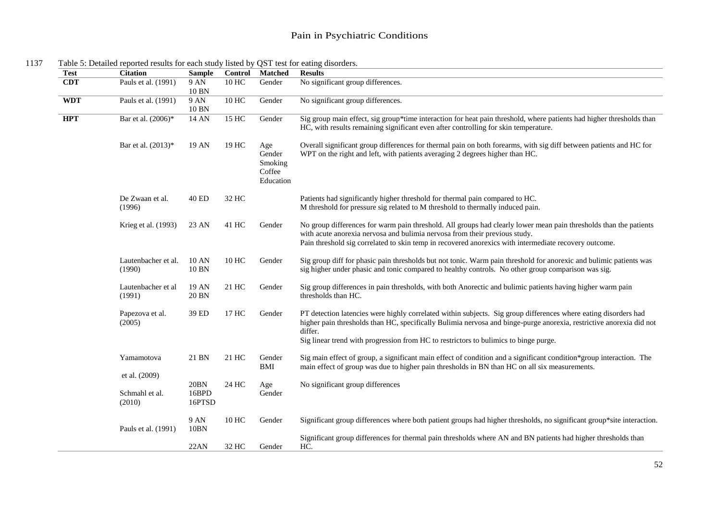| <b>Test</b> | <b>Citation</b>                           | <b>Sample</b>                  | Control | Matched                                         | <b>Results</b>                                                                                                                                                                                                                                                                                                                            |
|-------------|-------------------------------------------|--------------------------------|---------|-------------------------------------------------|-------------------------------------------------------------------------------------------------------------------------------------------------------------------------------------------------------------------------------------------------------------------------------------------------------------------------------------------|
| <b>CDT</b>  | Pauls et al. (1991)                       | 9 AN<br>10 BN                  | 10 HC   | Gender                                          | No significant group differences.                                                                                                                                                                                                                                                                                                         |
| <b>WDT</b>  | Pauls et al. (1991)                       | 9 AN<br>10 BN                  | 10 HC   | Gender                                          | No significant group differences.                                                                                                                                                                                                                                                                                                         |
| <b>HPT</b>  | Bar et al. (2006)*                        | 14 AN                          | 15 HC   | Gender                                          | Sig group main effect, sig group*time interaction for heat pain threshold, where patients had higher thresholds than<br>HC, with results remaining significant even after controlling for skin temperature.                                                                                                                               |
|             | Bar et al. (2013)*                        | 19 AN                          | 19 HC   | Age<br>Gender<br>Smoking<br>Coffee<br>Education | Overall significant group differences for thermal pain on both forearms, with sig diff between patients and HC for<br>WPT on the right and left, with patients averaging 2 degrees higher than HC.                                                                                                                                        |
|             | De Zwaan et al.<br>(1996)                 | 40 ED                          | 32 HC   |                                                 | Patients had significantly higher threshold for thermal pain compared to HC.<br>M threshold for pressure sig related to M threshold to thermally induced pain.                                                                                                                                                                            |
|             | Krieg et al. (1993)                       | 23 AN                          | 41 HC   | Gender                                          | No group differences for warm pain threshold. All groups had clearly lower mean pain thresholds than the patients<br>with acute anorexia nervosa and bulimia nervosa from their previous study.<br>Pain threshold sig correlated to skin temp in recovered anorexics with intermediate recovery outcome.                                  |
|             | Lautenbacher et al.<br>(1990)             | 10 AN<br>10 BN                 | 10 HC   | Gender                                          | Sig group diff for phasic pain thresholds but not tonic. Warm pain threshold for anorexic and bulimic patients was<br>sig higher under phasic and tonic compared to healthy controls. No other group comparison was sig.                                                                                                                  |
|             | Lautenbacher et al<br>(1991)              | 19 AN<br>20 BN                 | 21 HC   | Gender                                          | Sig group differences in pain thresholds, with both Anorectic and bulimic patients having higher warm pain<br>thresholds than HC.                                                                                                                                                                                                         |
|             | Papezova et al.<br>(2005)                 | 39 ED                          | 17 HC   | Gender                                          | PT detection latencies were highly correlated within subjects. Sig group differences where eating disorders had<br>higher pain thresholds than HC, specifically Bulimia nervosa and binge-purge anorexia, restrictive anorexia did not<br>differ.<br>Sig linear trend with progression from HC to restrictors to bulimics to binge purge. |
|             | Yamamotova                                | 21 BN                          | 21 HC   | Gender<br>BMI                                   | Sig main effect of group, a significant main effect of condition and a significant condition*group interaction. The<br>main effect of group was due to higher pain thresholds in BN than HC on all six measurements.                                                                                                                      |
|             | et al. (2009)<br>Schmahl et al.<br>(2010) | <b>20BN</b><br>16BPD<br>16PTSD | 24 HC   | Age<br>Gender                                   | No significant group differences                                                                                                                                                                                                                                                                                                          |
|             | Pauls et al. (1991)                       | 9 AN<br><b>10BN</b>            | 10 HC   | Gender                                          | Significant group differences where both patient groups had higher thresholds, no significant group*site interaction.                                                                                                                                                                                                                     |
|             |                                           | 22AN                           | 32 HC   | Gender                                          | Significant group differences for thermal pain thresholds where AN and BN patients had higher thresholds than<br>HC.                                                                                                                                                                                                                      |

<sup>1137</sup> Table 5: Detailed reported results for each study listed by QST test for eating disorders.